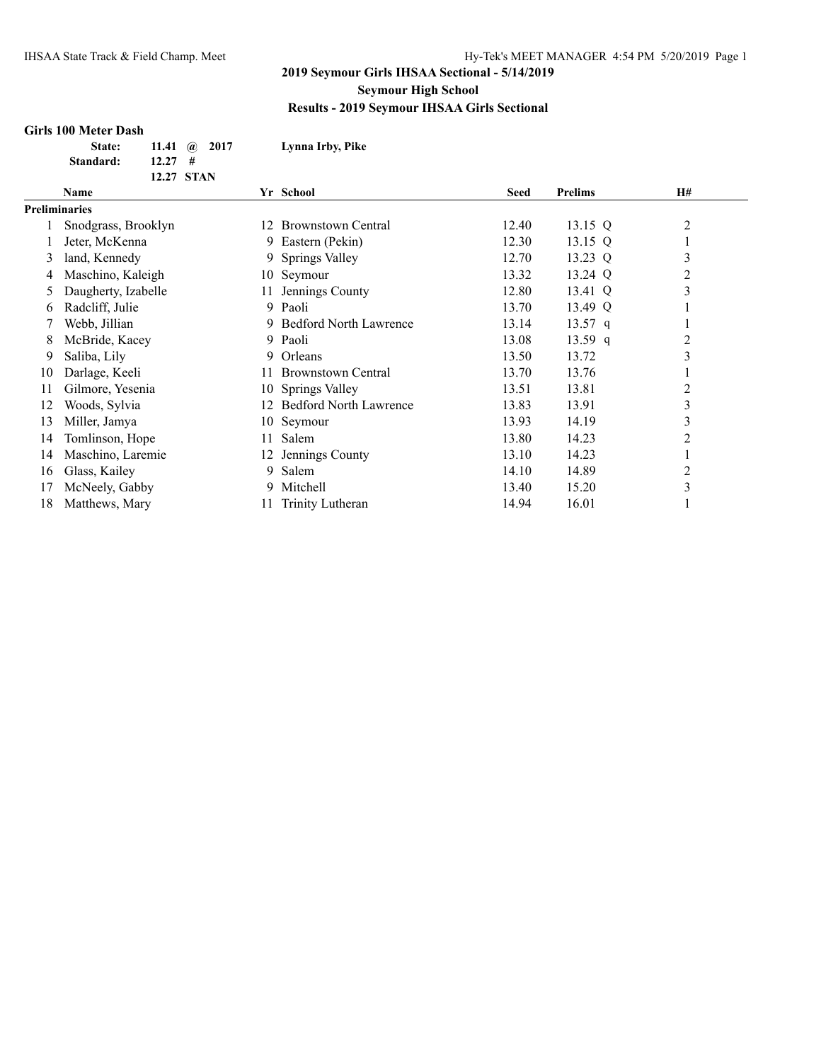#### **Girls 100 Meter Dash**

| <b>State:</b> | 11.41 $\omega$ 2017 | Lynna Irby, Pike |
|---------------|---------------------|------------------|
| Standard:     | 12.27#              |                  |
|               | 12.27 STAN          |                  |

|    | Name                 |     | Yr School                     | Seed  | <b>Prelims</b> | <b>H#</b>      |
|----|----------------------|-----|-------------------------------|-------|----------------|----------------|
|    | <b>Preliminaries</b> |     |                               |       |                |                |
|    | Snodgrass, Brooklyn  | 12. | <b>Brownstown Central</b>     | 12.40 | 13.15 Q        | $\overline{c}$ |
|    | Jeter, McKenna       | 9.  | Eastern (Pekin)               | 12.30 | 13.15 $Q$      |                |
| 3  | land, Kennedy        | 9.  | Springs Valley                | 12.70 | 13.23 Q        | 3              |
| 4  | Maschino, Kaleigh    |     | 10 Seymour                    | 13.32 | 13.24 Q        | $\overline{2}$ |
| 5  | Daugherty, Izabelle  | 11. | Jennings County               | 12.80 | 13.41 Q        | 3              |
| 6  | Radcliff, Julie      | 9   | Paoli                         | 13.70 | 13.49 Q        |                |
|    | Webb, Jillian        |     | <b>Bedford North Lawrence</b> | 13.14 | 13.57 q        |                |
| 8  | McBride, Kacey       | 9.  | Paoli                         | 13.08 | $13.59$ q      | $\overline{2}$ |
| 9  | Saliba, Lily         | 9.  | Orleans                       | 13.50 | 13.72          | 3              |
| 10 | Darlage, Keeli       | 11  | <b>Brownstown Central</b>     | 13.70 | 13.76          |                |
| 11 | Gilmore, Yesenia     |     | 10 Springs Valley             | 13.51 | 13.81          | $\overline{c}$ |
| 12 | Woods, Sylvia        | 12. | <b>Bedford North Lawrence</b> | 13.83 | 13.91          | 3              |
| 13 | Miller, Jamya        |     | 10 Seymour                    | 13.93 | 14.19          | 3              |
| 14 | Tomlinson, Hope      | 11  | Salem                         | 13.80 | 14.23          | $\overline{2}$ |
| 14 | Maschino, Laremie    | 12. | Jennings County               | 13.10 | 14.23          |                |
| 16 | Glass, Kailey        | 9.  | Salem                         | 14.10 | 14.89          | 2              |
| 17 | McNeely, Gabby       | 9.  | Mitchell                      | 13.40 | 15.20          | 3              |
| 18 | Matthews, Mary       | 11  | Trinity Lutheran              | 14.94 | 16.01          |                |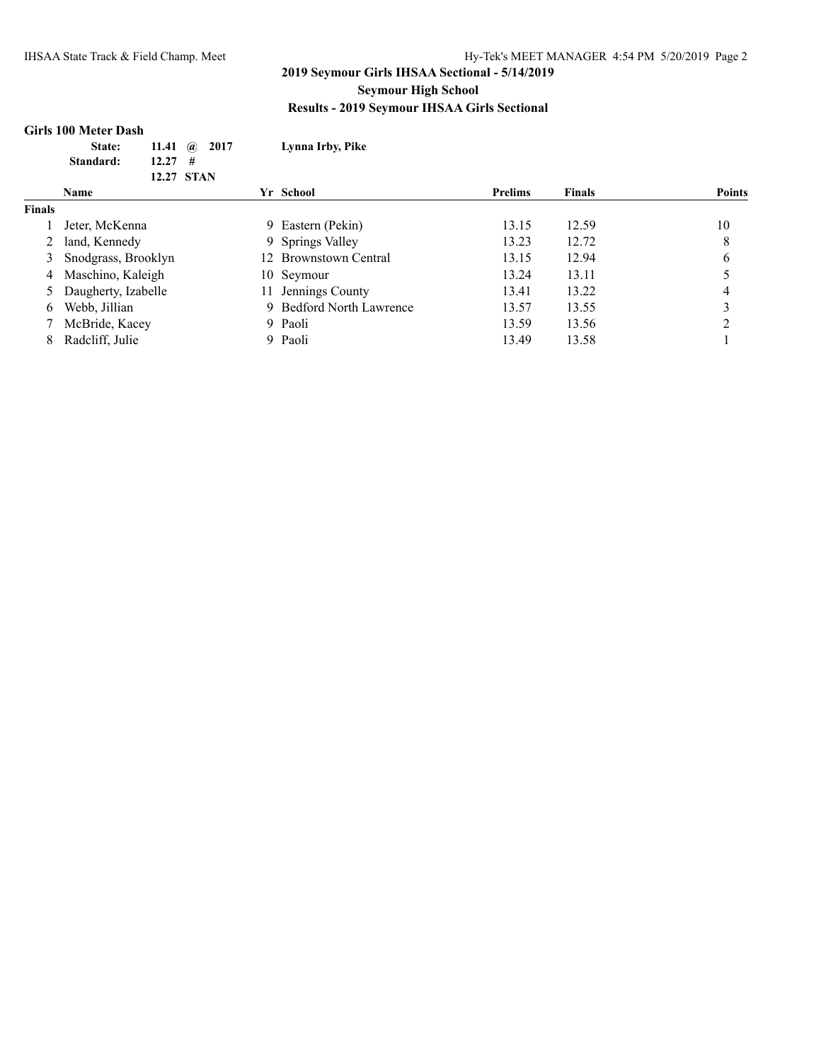#### **Girls 100 Meter Dash**

|               | State:<br>11.41<br>$\mathbf{a}$ | 2017 | Lynna Irby, Pike         |                |               |               |
|---------------|---------------------------------|------|--------------------------|----------------|---------------|---------------|
|               | 12.27<br>Standard:<br>#         |      |                          |                |               |               |
|               | 12.27 STAN                      |      |                          |                |               |               |
|               | <b>Name</b>                     |      | Yr School                | <b>Prelims</b> | <b>Finals</b> | <b>Points</b> |
| <b>Finals</b> |                                 |      |                          |                |               |               |
|               | Jeter, McKenna                  |      | 9 Eastern (Pekin)        | 13.15          | 12.59         | 10            |
|               | land, Kennedy                   |      | 9 Springs Valley         | 13.23          | 12.72         | 8             |
| 3             | Snodgrass, Brooklyn             |      | 12 Brownstown Central    | 13.15          | 12.94         | 6             |
| 4             | Maschino, Kaleigh               |      | 10 Seymour               | 13.24          | 13.11         |               |
| 5             | Daugherty, Izabelle             |      | 11 Jennings County       | 13.41          | 13.22         |               |
| 6             | Webb, Jillian                   |      | 9 Bedford North Lawrence | 13.57          | 13.55         | 3             |
|               | McBride, Kacey                  |      | 9 Paoli                  | 13.59          | 13.56         | ↑             |
| 8             | Radcliff, Julie                 |      | 9 Paoli                  | 13.49          | 13.58         |               |
|               |                                 |      |                          |                |               |               |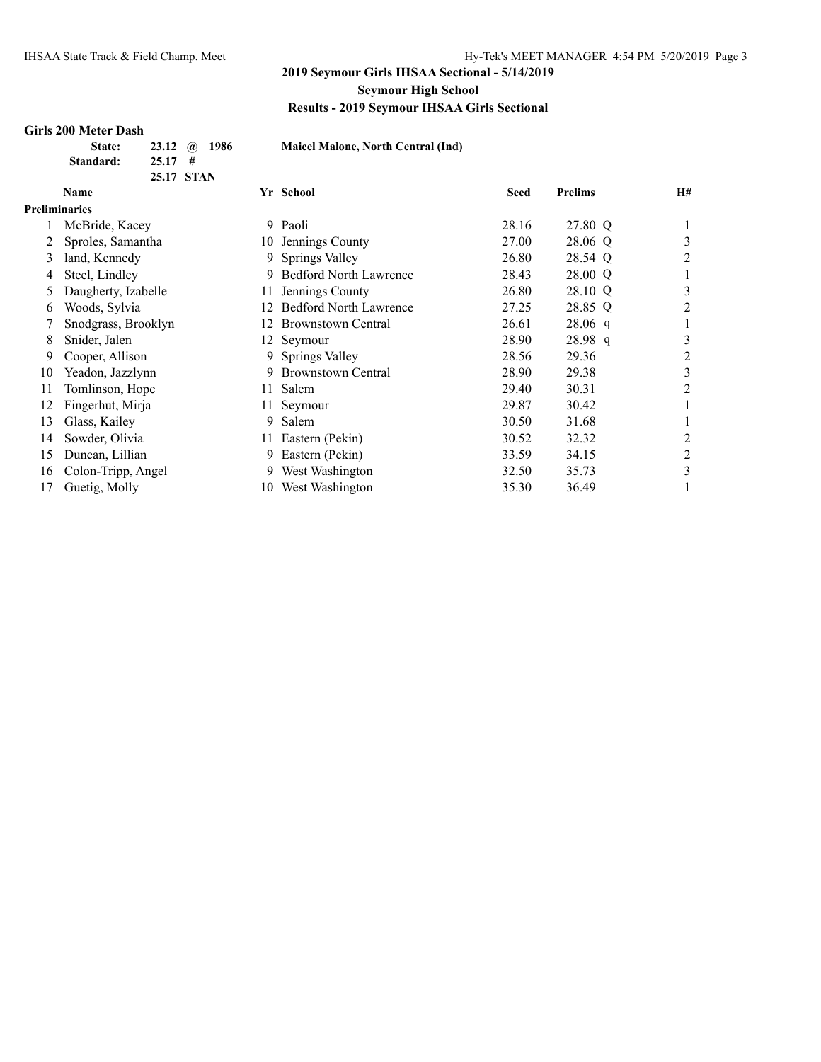## **Girls 200 Meter Dash**

| State:    |                 | 23.12 $\omega$ 1986 |  |
|-----------|-----------------|---------------------|--|
| Standard: | $25.17 \quad #$ |                     |  |
|           |                 | 25.17 STAN          |  |

**State: 23.12 @ 1986 Maicel Malone, North Central (Ind)**

|                      | Name                |     | Yr School                     | Seed  | <b>Prelims</b> | <b>H#</b>      |
|----------------------|---------------------|-----|-------------------------------|-------|----------------|----------------|
| <b>Preliminaries</b> |                     |     |                               |       |                |                |
|                      | McBride, Kacey      |     | 9 Paoli                       | 28.16 | 27.80 Q        |                |
|                      | Sproles, Samantha   |     | 10 Jennings County            | 27.00 | 28.06 Q        | 3              |
| 3                    | land, Kennedy       |     | 9 Springs Valley              | 26.80 | 28.54 Q        | $\overline{2}$ |
| 4                    | Steel, Lindley      | 9.  | <b>Bedford North Lawrence</b> | 28.43 | 28.00 Q        |                |
|                      | Daugherty, Izabelle |     | Jennings County               | 26.80 | 28.10 Q        | 3              |
| 6                    | Woods, Sylvia       | 12  | <b>Bedford North Lawrence</b> | 27.25 | 28.85 Q        | 2              |
|                      | Snodgrass, Brooklyn | 12  | <b>Brownstown Central</b>     | 26.61 | $28.06$ q      |                |
| 8                    | Snider, Jalen       |     | 12 Seymour                    | 28.90 | 28.98q         | 3              |
| 9                    | Cooper, Allison     |     | 9 Springs Valley              | 28.56 | 29.36          | 2              |
| 10                   | Yeadon, Jazzlynn    |     | 9 Brownstown Central          | 28.90 | 29.38          | 3              |
| 11                   | Tomlinson, Hope     | 11  | Salem                         | 29.40 | 30.31          | 2              |
| 12                   | Fingerhut, Mirja    | 11- | Seymour                       | 29.87 | 30.42          |                |
| 13                   | Glass, Kailey       |     | 9 Salem                       | 30.50 | 31.68          |                |
| 14                   | Sowder, Olivia      | 11. | Eastern (Pekin)               | 30.52 | 32.32          | $\overline{c}$ |
| 15                   | Duncan, Lillian     |     | 9 Eastern (Pekin)             | 33.59 | 34.15          | $\overline{2}$ |
| 16                   | Colon-Tripp, Angel  |     | 9 West Washington             | 32.50 | 35.73          | 3              |
| 17                   | Guetig, Molly       | 10- | West Washington               | 35.30 | 36.49          |                |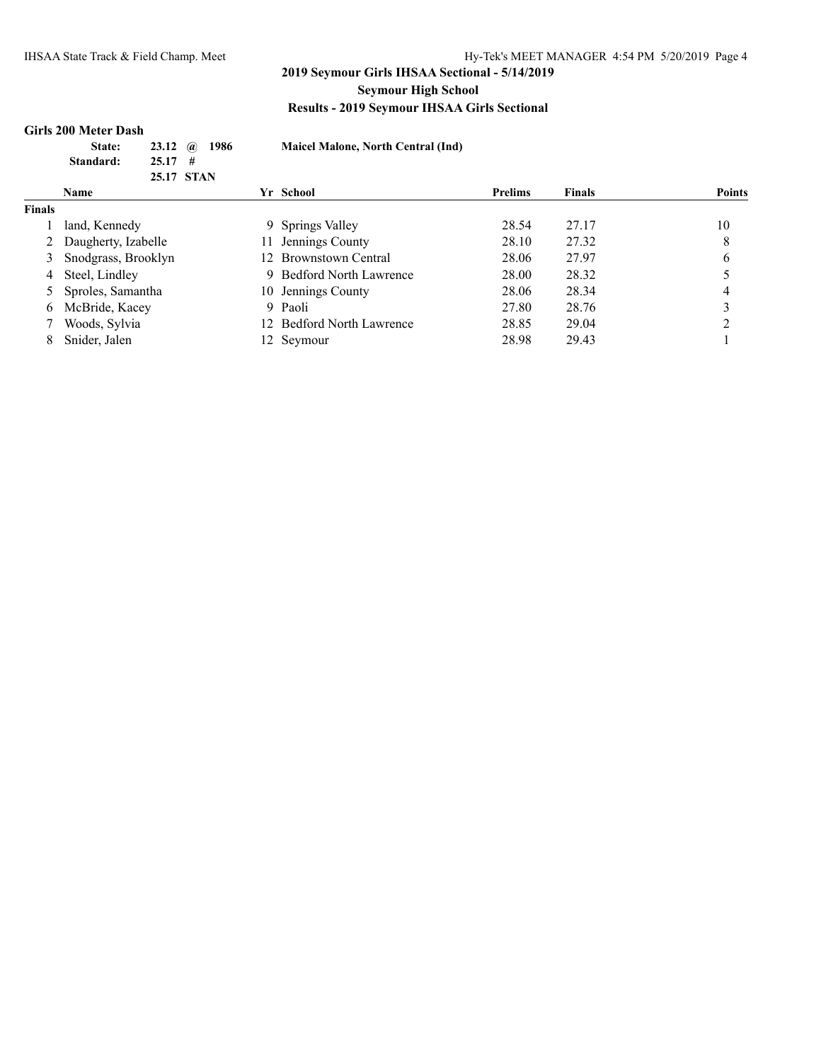#### **Girls 200 Meter Dash**

| <b>State:</b> | 23.12 $\omega$ 1986 |  |
|---------------|---------------------|--|
| Standard:     | $25.17 \quad #$     |  |
|               | 25.17 STAN          |  |

**State: 23.12 @ 1986 Maicel Malone, North Central (Ind)**

|               | <b>Name</b>         |    | Yr School                 | <b>Prelims</b> | Finals | <b>Points</b> |
|---------------|---------------------|----|---------------------------|----------------|--------|---------------|
| <b>Finals</b> |                     |    |                           |                |        |               |
|               | land, Kennedy       |    | 9 Springs Valley          | 28.54          | 27.17  | 10            |
|               | Daugherty, Izabelle | 11 | Jennings County           | 28.10          | 27.32  | 8             |
|               | Snodgrass, Brooklyn |    | <b>Brownstown Central</b> | 28.06          | 27.97  | 6             |
| 4             | Steel, Lindley      |    | 9 Bedford North Lawrence  | 28.00          | 28.32  |               |
|               | 5 Sproles, Samantha |    | 10 Jennings County        | 28.06          | 28.34  |               |
| 6.            | McBride, Kacey      |    | 9 Paoli                   | 27.80          | 28.76  |               |
|               | Woods, Sylvia       |    | 12 Bedford North Lawrence | 28.85          | 29.04  |               |
|               | Snider, Jalen       |    | 12 Seymour                | 28.98          | 29.43  |               |
|               |                     |    |                           |                |        |               |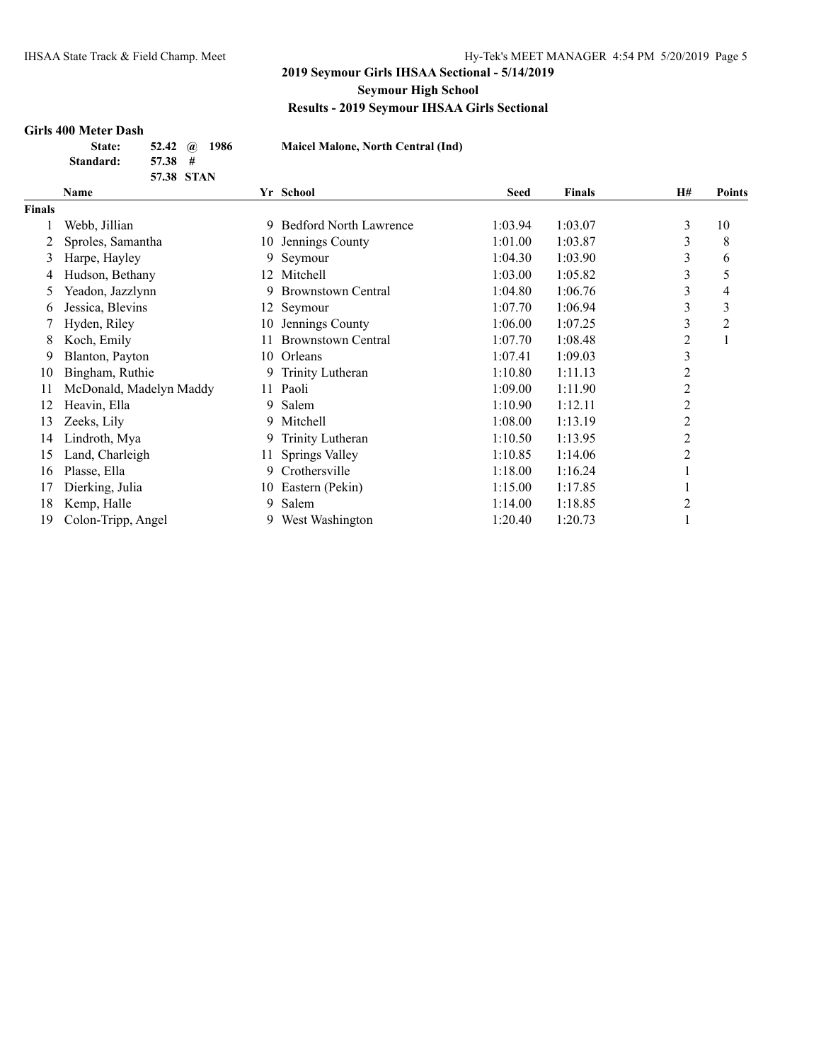#### **Girls 400 Meter Dash**

| State:    | 52.42 @ 1986 |  |
|-----------|--------------|--|
| Standard: | $57.38$ #    |  |
|           | 57.38 STAN   |  |

**State: 52.42 @ 1986 Maicel Malone, North Central (Ind)**

|               | Name                    |     | Yr School                     | <b>Seed</b> | <b>Finals</b> | <b>H#</b>      | Points         |
|---------------|-------------------------|-----|-------------------------------|-------------|---------------|----------------|----------------|
| <b>Finals</b> |                         |     |                               |             |               |                |                |
|               | Webb, Jillian           | 9   | <b>Bedford North Lawrence</b> | 1:03.94     | 1:03.07       | 3              | 10             |
|               | Sproles, Samantha       | 10  | Jennings County               | 1:01.00     | 1:03.87       | 3              | 8              |
| 3             | Harpe, Hayley           | 9   | Seymour                       | 1:04.30     | 1:03.90       | 3              | 6              |
| 4             | Hudson, Bethany         | 12  | Mitchell                      | 1:03.00     | 1:05.82       | 3              | 5              |
| 5             | Yeadon, Jazzlynn        | 9   | <b>Brownstown Central</b>     | 1:04.80     | 1:06.76       | 3              | 4              |
| 6             | Jessica, Blevins        | 12. | Seymour                       | 1:07.70     | 1:06.94       | 3              | 3              |
|               | Hyden, Riley            | 10  | Jennings County               | 1:06.00     | 1:07.25       | 3              | $\overline{2}$ |
| 8             | Koch, Emily             |     | <b>Brownstown Central</b>     | 1:07.70     | 1:08.48       | 2              |                |
| 9             | Blanton, Payton         | 10  | Orleans                       | 1:07.41     | 1:09.03       | 3              |                |
| 10            | Bingham, Ruthie         | 9   | Trinity Lutheran              | 1:10.80     | 1:11.13       | $\overline{c}$ |                |
| 11            | McDonald, Madelyn Maddy | 11  | Paoli                         | 1:09.00     | 1:11.90       | 2              |                |
| 12            | Heavin, Ella            | 9   | Salem                         | 1:10.90     | 1:12.11       | $\overline{2}$ |                |
| 13            | Zeeks, Lily             | 9   | Mitchell                      | 1:08.00     | 1:13.19       | 2              |                |
| 14            | Lindroth, Mya           | 9   | Trinity Lutheran              | 1:10.50     | 1:13.95       | 2              |                |
| 15            | Land, Charleigh         | 11  | Springs Valley                | 1:10.85     | 1:14.06       | $\overline{2}$ |                |
| 16            | Plasse, Ella            | 9   | Crothersville                 | 1:18.00     | 1:16.24       |                |                |
| 17            | Dierking, Julia         | 10  | Eastern (Pekin)               | 1:15.00     | 1:17.85       |                |                |
| 18            | Kemp, Halle             | 9   | Salem                         | 1:14.00     | 1:18.85       | 2              |                |
| 19            | Colon-Tripp, Angel      | 9.  | West Washington               | 1:20.40     | 1:20.73       |                |                |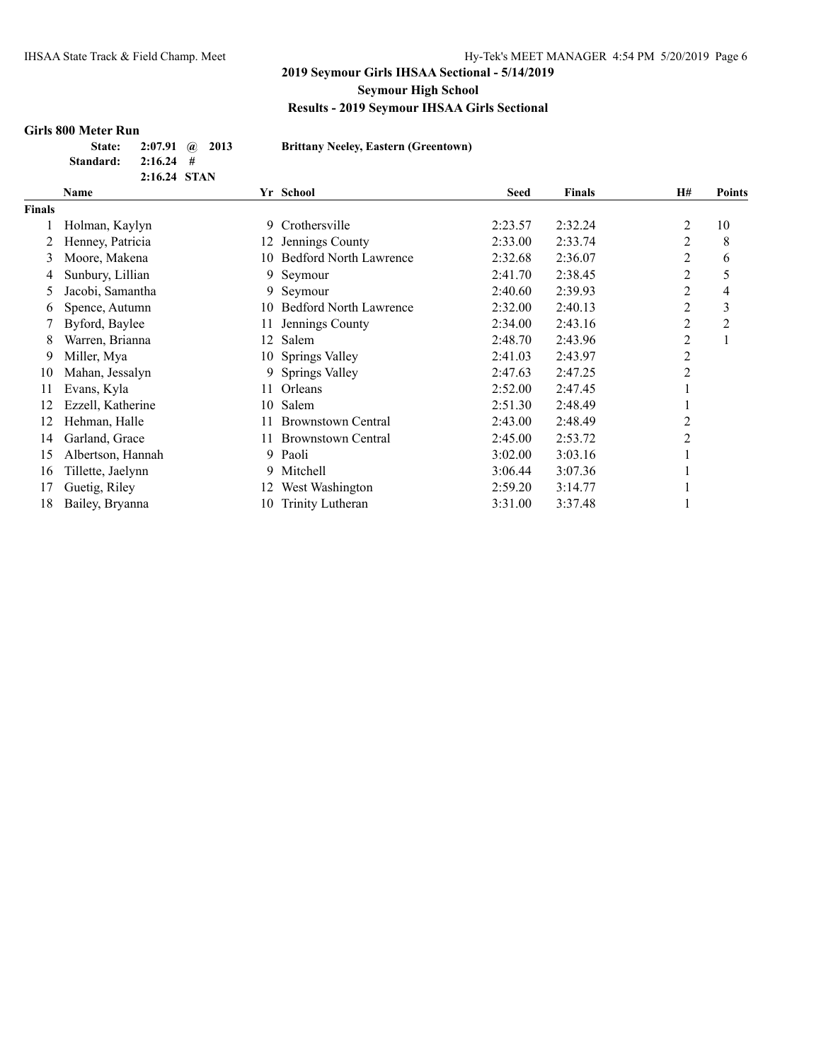#### **Girls 800 Meter Run**

| <b>State:</b> |              | $2:07.91$ (a) $2013$ |
|---------------|--------------|----------------------|
| Standard:     | $2:16.24$ #  |                      |
|               | 2:16.24 STAN |                      |

**State: 2:07.91 @ 2013 Brittany Neeley, Eastern (Greentown)**

|        | Name              |    | Yr School                     | <b>Seed</b> | <b>Finals</b> | <b>H#</b> | <b>Points</b>  |
|--------|-------------------|----|-------------------------------|-------------|---------------|-----------|----------------|
| Finals |                   |    |                               |             |               |           |                |
|        | Holman, Kaylyn    | 9  | Crothersville                 | 2:23.57     | 2:32.24       | 2         | 10             |
|        | Henney, Patricia  | 12 | Jennings County               | 2:33.00     | 2:33.74       | 2         | 8              |
| 3      | Moore, Makena     | 10 | <b>Bedford North Lawrence</b> | 2:32.68     | 2:36.07       | 2         | 6              |
| 4      | Sunbury, Lillian  | 9  | Seymour                       | 2:41.70     | 2:38.45       | 2         | 5              |
| 5      | Jacobi, Samantha  | 9. | Seymour                       | 2:40.60     | 2:39.93       | 2         | 4              |
| 6      | Spence, Autumn    | 10 | <b>Bedford North Lawrence</b> | 2:32.00     | 2:40.13       | 2         | 3              |
|        | Byford, Baylee    | 11 | Jennings County               | 2:34.00     | 2:43.16       | 2         | $\overline{2}$ |
| 8      | Warren, Brianna   | 12 | Salem                         | 2:48.70     | 2:43.96       | 2         |                |
| 9      | Miller, Mya       |    | 10 Springs Valley             | 2:41.03     | 2:43.97       | 2         |                |
| 10     | Mahan, Jessalyn   | 9  | Springs Valley                | 2:47.63     | 2:47.25       | 2         |                |
| 11     | Evans, Kyla       | 11 | Orleans                       | 2:52.00     | 2:47.45       |           |                |
| 12     | Ezzell, Katherine | 10 | Salem                         | 2:51.30     | 2:48.49       |           |                |
| 12     | Hehman, Halle     |    | <b>Brownstown Central</b>     | 2:43.00     | 2:48.49       | 2         |                |
| 14     | Garland, Grace    | 11 | <b>Brownstown Central</b>     | 2:45.00     | 2:53.72       | 2         |                |
| 15     | Albertson, Hannah | 9  | Paoli                         | 3:02.00     | 3:03.16       |           |                |
| 16     | Tillette, Jaelynn | 9. | Mitchell                      | 3:06.44     | 3:07.36       |           |                |
| 17     | Guetig, Riley     | 12 | West Washington               | 2:59.20     | 3:14.77       |           |                |
| 18     | Bailey, Bryanna   | 10 | Trinity Lutheran              | 3:31.00     | 3:37.48       |           |                |
|        |                   |    |                               |             |               |           |                |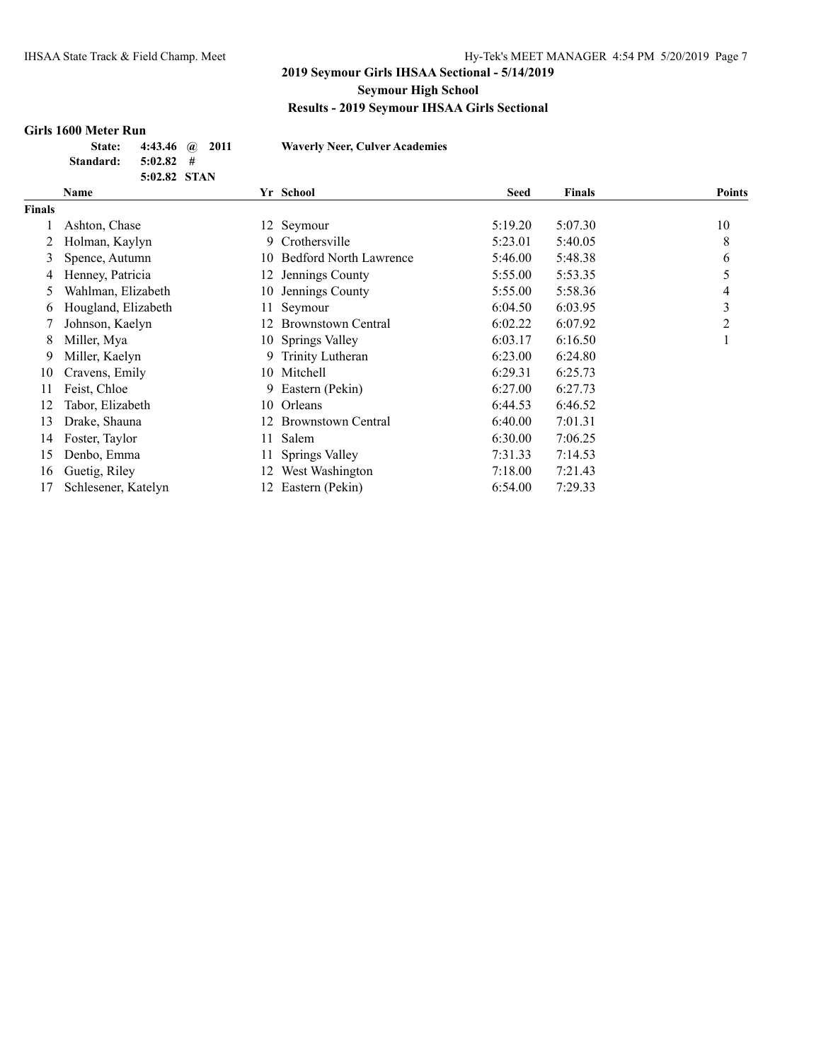## **Girls 1600 Meter Run**

| State:    | 4:43.46 $\omega$ 2011 |  |
|-----------|-----------------------|--|
| Standard: | $5:02.82$ #           |  |
|           | 5:02.82 STAN          |  |

**State: 4:43.46 @ 2011 Waverly Neer, Culver Academies**

| Name                |     |                               | <b>Seed</b>                                                                                                                                                                | <b>Finals</b> | <b>Points</b> |
|---------------------|-----|-------------------------------|----------------------------------------------------------------------------------------------------------------------------------------------------------------------------|---------------|---------------|
|                     |     |                               |                                                                                                                                                                            |               |               |
| Ashton, Chase       |     |                               | 5:19.20                                                                                                                                                                    | 5:07.30       | 10            |
| Holman, Kaylyn      | 9.  | Crothersville                 | 5:23.01                                                                                                                                                                    | 5:40.05       | 8             |
| Spence, Autumn      |     | <b>Bedford North Lawrence</b> | 5:46.00                                                                                                                                                                    | 5:48.38       | 6             |
| Henney, Patricia    |     | Jennings County               | 5:55.00                                                                                                                                                                    | 5:53.35       | 5             |
| Wahlman, Elizabeth  |     | Jennings County               | 5:55.00                                                                                                                                                                    | 5:58.36       | 4             |
| Hougland, Elizabeth |     | Seymour                       | 6:04.50                                                                                                                                                                    | 6:03.95       | 3             |
| Johnson, Kaelyn     |     | <b>Brownstown Central</b>     | 6:02.22                                                                                                                                                                    | 6:07.92       | 2             |
| Miller, Mya         |     |                               | 6:03.17                                                                                                                                                                    | 6:16.50       |               |
| Miller, Kaelyn      |     |                               | 6:23.00                                                                                                                                                                    | 6:24.80       |               |
| Cravens, Emily      |     |                               | 6:29.31                                                                                                                                                                    | 6:25.73       |               |
| Feist, Chloe        | 9.  | Eastern (Pekin)               | 6:27.00                                                                                                                                                                    | 6:27.73       |               |
| Tabor, Elizabeth    |     |                               | 6:44.53                                                                                                                                                                    | 6:46.52       |               |
| Drake, Shauna       |     | <b>Brownstown Central</b>     | 6:40.00                                                                                                                                                                    | 7:01.31       |               |
| Foster, Taylor      |     | Salem                         | 6:30.00                                                                                                                                                                    | 7:06.25       |               |
| Denbo, Emma         |     |                               | 7:31.33                                                                                                                                                                    | 7:14.53       |               |
| Guetig, Riley       | 12. | West Washington               | 7:18.00                                                                                                                                                                    | 7:21.43       |               |
| Schlesener, Katelyn |     | Eastern (Pekin)               | 6:54.00                                                                                                                                                                    | 7:29.33       |               |
|                     |     |                               | Yr School<br>12 Seymour<br>10.<br>12<br>10-<br>11-<br>12.<br>10 Springs Valley<br>9 Trinity Lutheran<br>10 Mitchell<br>10 Orleans<br>12<br>11.<br>11 Springs Valley<br>12. |               |               |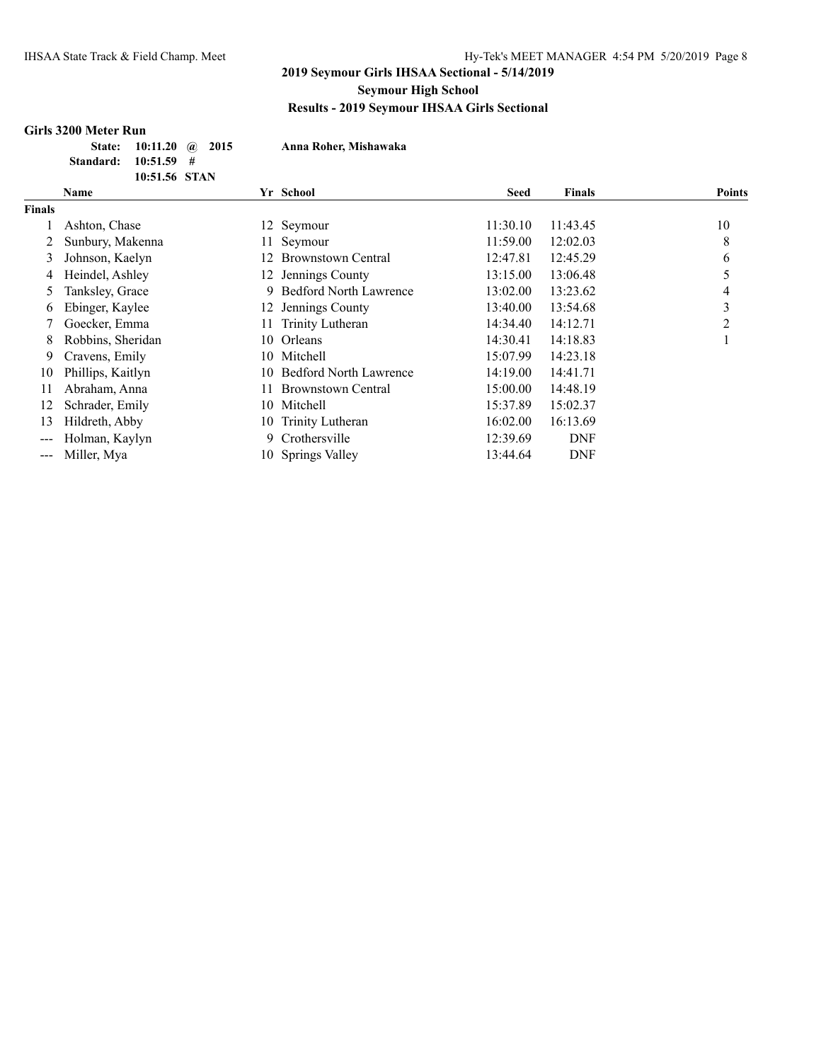## **Girls 3200 Meter Run**

|                      | State: 10:11.20 @ 2015 |  |
|----------------------|------------------------|--|
| Standard: 10:51.59 # |                        |  |
|                      | 10:51.56 STAN          |  |

**State: 10:11.20 @ 2015 Anna Roher, Mishawaka**

|               | Name              |     | Yr School                     | Seed     | <b>Finals</b> | <b>Points</b> |
|---------------|-------------------|-----|-------------------------------|----------|---------------|---------------|
| <b>Finals</b> |                   |     |                               |          |               |               |
|               | Ashton, Chase     |     | 12 Seymour                    | 11:30.10 | 11:43.45      | 10            |
|               | Sunbury, Makenna  | 11. | Seymour                       | 11:59.00 | 12:02.03      | 8             |
| 3             | Johnson, Kaelyn   | 12. | Brownstown Central            | 12:47.81 | 12:45.29      | 6             |
| 4             | Heindel, Ashley   |     | 12 Jennings County            | 13:15.00 | 13:06.48      | 5             |
| 5             | Tanksley, Grace   | 9   | <b>Bedford North Lawrence</b> | 13:02.00 | 13:23.62      | 4             |
| 6             | Ebinger, Kaylee   | 12. | Jennings County               | 13:40.00 | 13:54.68      | 3             |
|               | Goecker, Emma     | 11. | Trinity Lutheran              | 14:34.40 | 14:12.71      | 2             |
| 8             | Robbins, Sheridan | 10  | Orleans                       | 14:30.41 | 14:18.83      |               |
| 9             | Cravens, Emily    | 10  | Mitchell                      | 15:07.99 | 14:23.18      |               |
| 10            | Phillips, Kaitlyn | 10  | <b>Bedford North Lawrence</b> | 14:19.00 | 14:41.71      |               |
| 11            | Abraham, Anna     | 11. | <b>Brownstown Central</b>     | 15:00.00 | 14:48.19      |               |
| 12            | Schrader, Emily   | 10  | Mitchell                      | 15:37.89 | 15:02.37      |               |
| 13            | Hildreth, Abby    | 10  | Trinity Lutheran              | 16:02.00 | 16:13.69      |               |
| $---$         | Holman, Kaylyn    | 9   | Crothersville                 | 12:39.69 | <b>DNF</b>    |               |
| ---           | Miller, Mya       | 10  | <b>Springs Valley</b>         | 13:44.64 | <b>DNF</b>    |               |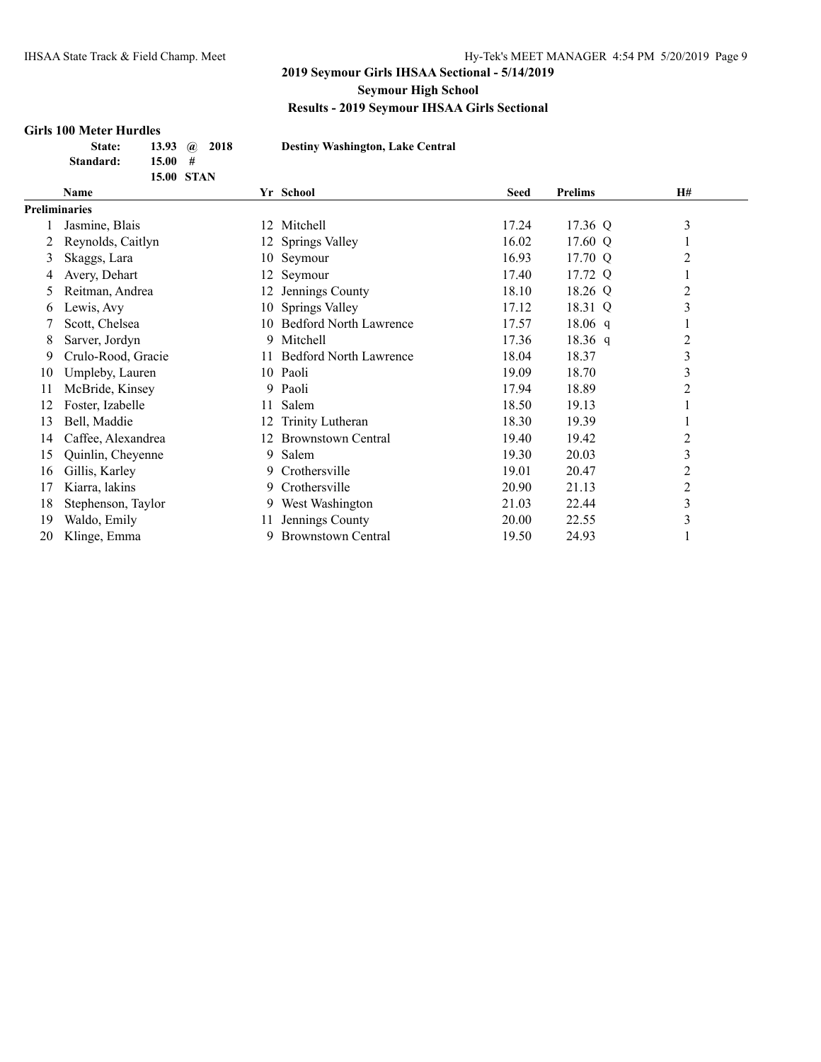#### **Girls 100 Meter Hurdles**

| State:    | 13.93 $\omega$ 2018 |  |
|-----------|---------------------|--|
| Standard: | $15.00 \#$          |  |
|           | <b>15.00 STAN</b>   |  |

**State: 13.93 @ 2018 Destiny Washington, Lake Central**

|                      | Name               |    | Yr School                     | <b>Seed</b> | <b>Prelims</b> | <b>H#</b>      |
|----------------------|--------------------|----|-------------------------------|-------------|----------------|----------------|
| <b>Preliminaries</b> |                    |    |                               |             |                |                |
|                      | Jasmine, Blais     | 12 | Mitchell                      | 17.24       | 17.36 Q        | 3              |
|                      | Reynolds, Caitlyn  | 12 | Springs Valley                | 16.02       | 17.60 Q        |                |
| 3                    | Skaggs, Lara       | 10 | Seymour                       | 16.93       | 17.70 Q        | 2              |
| 4                    | Avery, Dehart      | 12 | Seymour                       | 17.40       | 17.72 Q        |                |
| Ć.                   | Reitman, Andrea    | 12 | Jennings County               | 18.10       | 18.26 Q        | 2              |
| 6                    | Lewis, Avy         | 10 | Springs Valley                | 17.12       | 18.31 Q        | 3              |
|                      | Scott, Chelsea     | 10 | <b>Bedford North Lawrence</b> | 17.57       | $18.06$ q      |                |
| 8                    | Sarver, Jordyn     | 9. | Mitchell                      | 17.36       | $18.36$ q      | 2              |
| 9                    | Crulo-Rood, Gracie | 11 | <b>Bedford North Lawrence</b> | 18.04       | 18.37          | 3              |
| 10                   | Umpleby, Lauren    |    | 10 Paoli                      | 19.09       | 18.70          | 3              |
| 11                   | McBride, Kinsey    |    | 9 Paoli                       | 17.94       | 18.89          | 2              |
| 12                   | Foster, Izabelle   | 11 | Salem                         | 18.50       | 19.13          |                |
| 13                   | Bell, Maddie       | 12 | Trinity Lutheran              | 18.30       | 19.39          |                |
| 14                   | Caffee, Alexandrea | 12 | <b>Brownstown Central</b>     | 19.40       | 19.42          | 2              |
| 15                   | Quinlin, Cheyenne  | 9. | Salem                         | 19.30       | 20.03          | 3              |
| 16                   | Gillis, Karley     | 9. | Crothersville                 | 19.01       | 20.47          | 2              |
| 17                   | Kiarra, lakins     | 9. | Crothersville                 | 20.90       | 21.13          | $\overline{c}$ |
| 18                   | Stephenson, Taylor | 9. | West Washington               | 21.03       | 22.44          | 3              |
| 19                   | Waldo, Emily       | 11 | Jennings County               | 20.00       | 22.55          | 3              |
| 20                   | Klinge, Emma       | 9  | <b>Brownstown Central</b>     | 19.50       | 24.93          |                |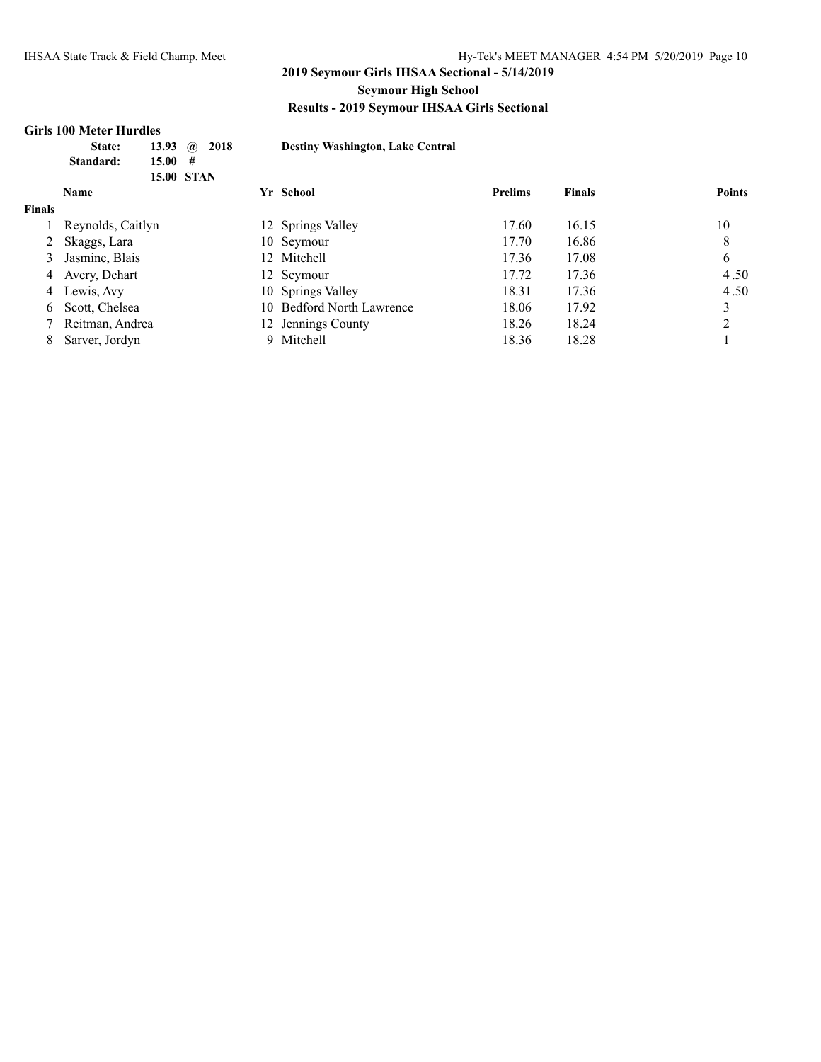#### **Girls 100 Meter Hurdles**

|               | 13.93<br>State:<br>15.00<br>Standard:<br><b>15.00 STAN</b> | 2018<br>$\mathbf{a}$<br># | <b>Destiny Washington, Lake Central</b> |                |               |               |
|---------------|------------------------------------------------------------|---------------------------|-----------------------------------------|----------------|---------------|---------------|
|               | <b>Name</b>                                                |                           | Yr School                               | <b>Prelims</b> | <b>Finals</b> | <b>Points</b> |
| <b>Finals</b> |                                                            |                           |                                         |                |               |               |
|               | Reynolds, Caitlyn                                          |                           | 12 Springs Valley                       | 17.60          | 16.15         | 10            |
|               | Skaggs, Lara                                               |                           | 10 Seymour                              | 17.70          | 16.86         | 8             |
| 3             | Jasmine, Blais                                             |                           | 12 Mitchell                             | 17.36          | 17.08         | 6             |
| 4             | Avery, Dehart                                              |                           | 12 Seymour                              | 17.72          | 17.36         | 4.50          |
| 4             | Lewis, Avy                                                 |                           | 10 Springs Valley                       | 18.31          | 17.36         | 4.50          |
| 6             | Scott, Chelsea                                             |                           | 10 Bedford North Lawrence               | 18.06          | 17.92         | 3             |
|               | Reitman, Andrea                                            |                           | 12 Jennings County                      | 18.26          | 18.24         | 2             |
| 8             | Sarver, Jordyn                                             | 9.                        | Mitchell                                | 18.36          | 18.28         |               |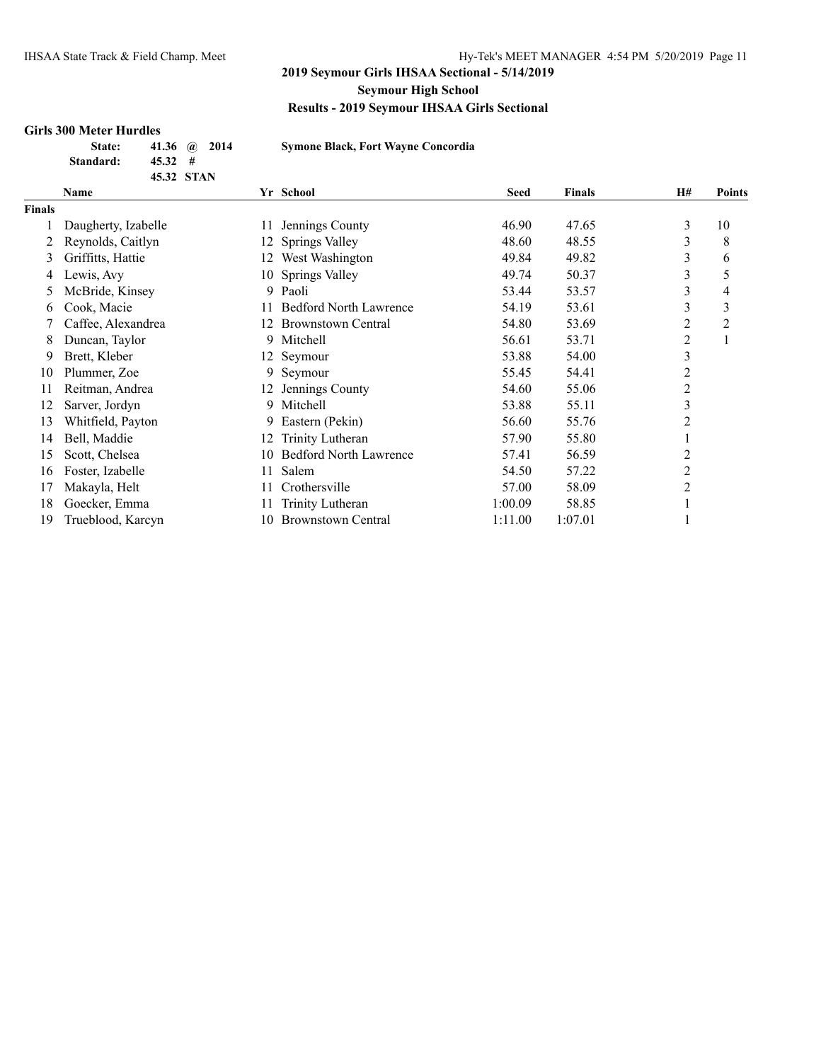## **Girls 300 Meter Hurdles**

| State:    | 41.36 $\omega$ 2014 |  |
|-----------|---------------------|--|
| Standard: | $45.32 \quad #$     |  |
|           | 45.32 STAN          |  |

**State: 41.36 @ 2014 Symone Black, Fort Wayne Concordia**

|        | Name                |     | Yr School                     | <b>Seed</b> | <b>Finals</b> | <b>H#</b> | Points         |
|--------|---------------------|-----|-------------------------------|-------------|---------------|-----------|----------------|
| Finals |                     |     |                               |             |               |           |                |
|        | Daugherty, Izabelle | 11  | Jennings County               | 46.90       | 47.65         | 3         | 10             |
|        | Reynolds, Caitlyn   | 12  | Springs Valley                | 48.60       | 48.55         | 3         | 8              |
| 3      | Griffitts, Hattie   | 12  | West Washington               | 49.84       | 49.82         | 3         | 6              |
| 4      | Lewis, Avy          |     | 10 Springs Valley             | 49.74       | 50.37         | 3         | 5              |
| 5      | McBride, Kinsey     | 9   | Paoli                         | 53.44       | 53.57         | 3         | 4              |
| 6      | Cook, Macie         |     | <b>Bedford North Lawrence</b> | 54.19       | 53.61         | 3         | 3              |
|        | Caffee, Alexandrea  | 12  | <b>Brownstown Central</b>     | 54.80       | 53.69         | 2         | $\overline{2}$ |
| 8      | Duncan, Taylor      | 9   | Mitchell                      | 56.61       | 53.71         | 2         |                |
| 9      | Brett, Kleber       |     | 12 Seymour                    | 53.88       | 54.00         | 3         |                |
| 10     | Plummer, Zoe        | 9   | Seymour                       | 55.45       | 54.41         | 2         |                |
| 11     | Reitman, Andrea     | 12. | Jennings County               | 54.60       | 55.06         | 2         |                |
| 12     | Sarver, Jordyn      | 9.  | Mitchell                      | 53.88       | 55.11         | 3         |                |
| 13     | Whitfield, Payton   | 9.  | Eastern (Pekin)               | 56.60       | 55.76         | 2         |                |
| 14     | Bell, Maddie        | 12  | Trinity Lutheran              | 57.90       | 55.80         |           |                |
| 15     | Scott, Chelsea      | 10  | <b>Bedford North Lawrence</b> | 57.41       | 56.59         | 2         |                |
| 16     | Foster, Izabelle    | 11  | Salem                         | 54.50       | 57.22         | 2         |                |
| 17     | Makayla, Helt       |     | Crothersville                 | 57.00       | 58.09         | 2         |                |
| 18     | Goecker, Emma       |     | Trinity Lutheran              | 1:00.09     | 58.85         |           |                |
| 19     | Trueblood, Karcyn   | 10  | <b>Brownstown Central</b>     | 1:11.00     | 1:07.01       |           |                |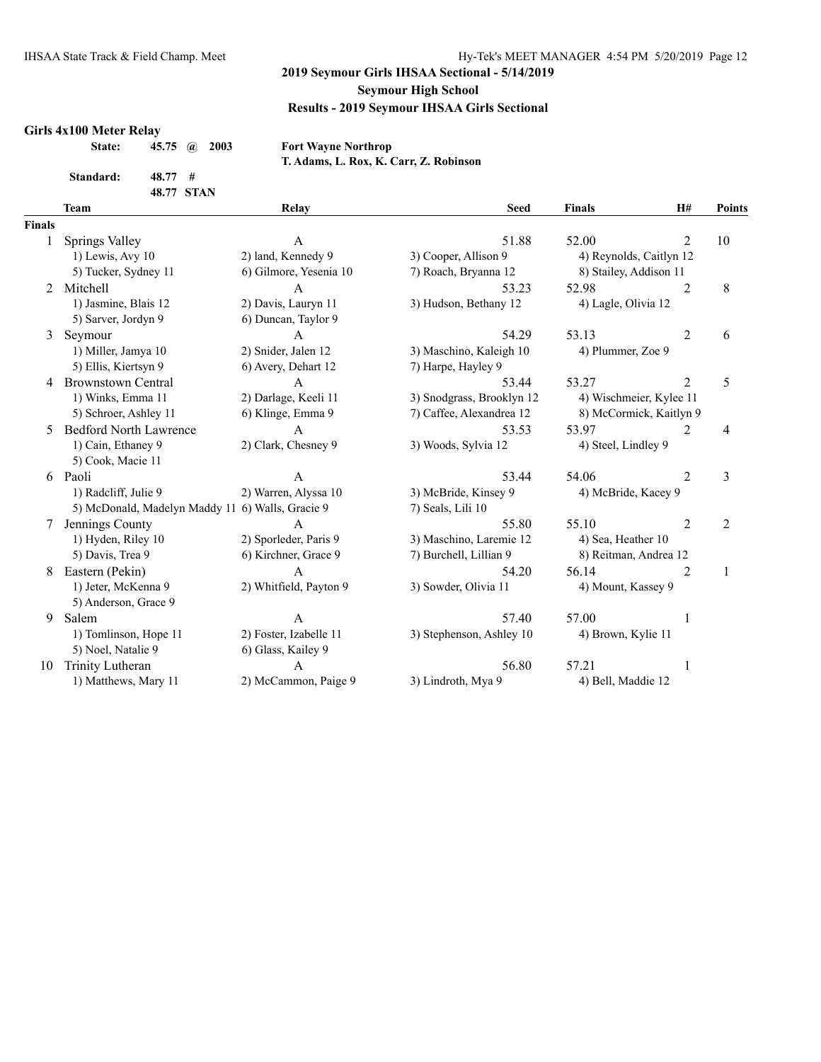#### **Girls 4x100 Meter Relay**

|           | State: 45.75 <i>a</i> 2003 |
|-----------|----------------------------|
| Standard: | 48.77#                     |
|           | 48.77 STAN                 |

 $\textbf{Fort Wayne Northern}$ **T. Adams, L. Rox, K. Carr, Z. Robinson**

|               | <b>Team</b>                                      | Relay                  | <b>Seed</b>               | <b>Finals</b>           | H#             | Points         |
|---------------|--------------------------------------------------|------------------------|---------------------------|-------------------------|----------------|----------------|
| <b>Finals</b> |                                                  |                        |                           |                         |                |                |
|               | Springs Valley                                   | $\mathbf{A}$           | 51.88                     | 52.00                   | $\overline{2}$ | 10             |
|               | 1) Lewis, Avy 10                                 | 2) land, Kennedy 9     | 3) Cooper, Allison 9      | 4) Reynolds, Caitlyn 12 |                |                |
|               | 5) Tucker, Sydney 11                             | 6) Gilmore, Yesenia 10 | 7) Roach, Bryanna 12      | 8) Stailey, Addison 11  |                |                |
| 2             | Mitchell                                         | A                      | 53.23                     | 52.98                   | $\overline{2}$ | 8              |
|               | 1) Jasmine, Blais 12                             | 2) Davis, Lauryn 11    | 3) Hudson, Bethany 12     | 4) Lagle, Olivia 12     |                |                |
|               | 5) Sarver, Jordyn 9                              | 6) Duncan, Taylor 9    |                           |                         |                |                |
| 3             | Seymour                                          | $\mathbf{A}$           | 54.29                     | 53.13                   | $\overline{2}$ | 6              |
|               | 1) Miller, Jamya 10                              | 2) Snider, Jalen 12    | 3) Maschino, Kaleigh 10   | 4) Plummer, Zoe 9       |                |                |
|               | 5) Ellis, Kiertsyn 9                             | 6) Avery, Dehart 12    | 7) Harpe, Hayley 9        |                         |                |                |
| 4             | <b>Brownstown Central</b>                        | A                      | 53.44                     | 53.27                   | 2              | 5              |
|               | 1) Winks, Emma 11                                | 2) Darlage, Keeli 11   | 3) Snodgrass, Brooklyn 12 | 4) Wischmeier, Kylee 11 |                |                |
|               | 5) Schroer, Ashley 11                            | 6) Klinge, Emma 9      | 7) Caffee, Alexandrea 12  | 8) McCormick, Kaitlyn 9 |                |                |
| 5             | <b>Bedford North Lawrence</b>                    | $\mathsf{A}$           | 53.53                     | 53.97                   | 2              | 4              |
|               | 1) Cain, Ethaney 9                               | 2) Clark, Chesney 9    | 3) Woods, Sylvia 12       | 4) Steel, Lindley 9     |                |                |
|               | 5) Cook, Macie 11                                |                        |                           |                         |                |                |
| 6             | Paoli                                            | $\mathbf{A}$           | 53.44                     | 54.06                   | $\overline{2}$ | 3              |
|               | 1) Radcliff, Julie 9                             | 2) Warren, Alyssa 10   | 3) McBride, Kinsey 9      | 4) McBride, Kacey 9     |                |                |
|               | 5) McDonald, Madelyn Maddy 11 6) Walls, Gracie 9 |                        | 7) Seals, Lili 10         |                         |                |                |
|               | Jennings County                                  | A                      | 55.80                     | 55.10                   | $\overline{2}$ | $\overline{2}$ |
|               | 1) Hyden, Riley 10                               | 2) Sporleder, Paris 9  | 3) Maschino, Laremie 12   | 4) Sea, Heather 10      |                |                |
|               | 5) Davis, Trea 9                                 | 6) Kirchner, Grace 9   | 7) Burchell, Lillian 9    | 8) Reitman, Andrea 12   |                |                |
| 8             | Eastern (Pekin)                                  | $\overline{A}$         | 54.20                     | 56.14                   | 2              | 1              |
|               | 1) Jeter, McKenna 9                              | 2) Whitfield, Payton 9 | 3) Sowder, Olivia 11      | 4) Mount, Kassey 9      |                |                |
|               | 5) Anderson, Grace 9                             |                        |                           |                         |                |                |
| 9             | Salem                                            | $\mathbf{A}$           | 57.40                     | 57.00                   | 1              |                |
|               | 1) Tomlinson, Hope 11                            | 2) Foster, Izabelle 11 | 3) Stephenson, Ashley 10  | 4) Brown, Kylie 11      |                |                |
|               | 5) Noel, Natalie 9                               | 6) Glass, Kailey 9     |                           |                         |                |                |
| 10            | <b>Trinity Lutheran</b>                          | $\overline{A}$         | 56.80                     | 57.21                   | 1              |                |
|               | 1) Matthews, Mary 11                             | 2) McCammon, Paige 9   | 3) Lindroth, Mya 9        | 4) Bell, Maddie 12      |                |                |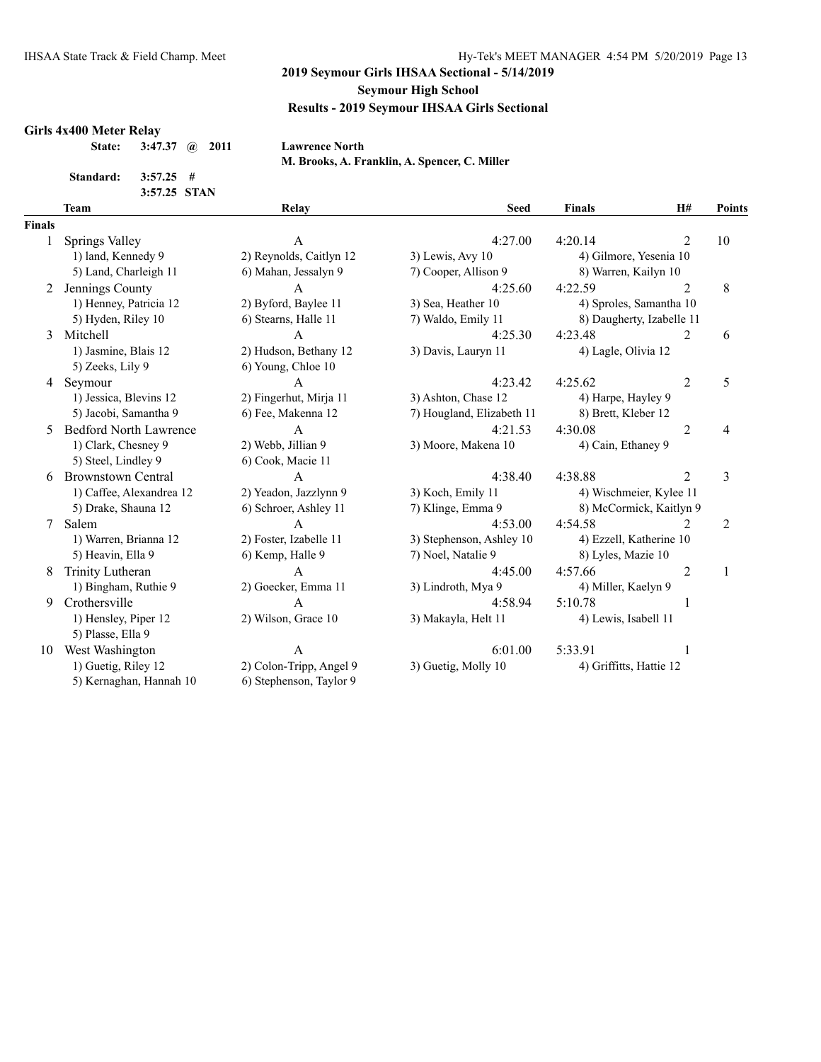#### **Girls 4x400 Meter Relay**

| 3:47.37 $\omega$ 2011<br>State: |
|---------------------------------|
|---------------------------------|

**State: 3:47.37 @ 2011 Lawrence North**

**M. Brooks, A. Franklin, A. Spencer, C. Miller**

**Standard: 3:57.25 #**

| 3:57.25 STAN  |                               |                         |                           |                         |                           |                |
|---------------|-------------------------------|-------------------------|---------------------------|-------------------------|---------------------------|----------------|
|               | <b>Team</b>                   | Relay                   | <b>Seed</b>               | <b>Finals</b>           | H#                        | <b>Points</b>  |
| <b>Finals</b> |                               |                         |                           |                         |                           |                |
|               | Springs Valley                | $\mathsf{A}$            | 4:27.00                   | 4:20.14                 | $\overline{2}$            | 10             |
|               | 1) land, Kennedy 9            | 2) Reynolds, Caitlyn 12 | $3)$ Lewis, Avy 10        | 4) Gilmore, Yesenia 10  |                           |                |
|               | 5) Land, Charleigh 11         | 6) Mahan, Jessalyn 9    | 7) Cooper, Allison 9      | 8) Warren, Kailyn 10    |                           |                |
| 2             | Jennings County               | A                       | 4:25.60                   | 4:22.59                 | $\overline{2}$            | 8              |
|               | 1) Henney, Patricia 12        | 2) Byford, Baylee 11    | 3) Sea, Heather 10        |                         | 4) Sproles, Samantha 10   |                |
|               | 5) Hyden, Riley 10            | 6) Stearns, Halle 11    | 7) Waldo, Emily 11        |                         | 8) Daugherty, Izabelle 11 |                |
| 3             | Mitchell                      | A                       | 4:25.30                   | 4:23.48                 | 2                         | 6              |
|               | 1) Jasmine, Blais 12          | 2) Hudson, Bethany 12   | 3) Davis, Lauryn 11       | 4) Lagle, Olivia 12     |                           |                |
|               | 5) Zeeks, Lily 9              | 6) Young, Chloe 10      |                           |                         |                           |                |
| 4             | Seymour                       | A                       | 4:23.42                   | 4:25.62                 | $\overline{2}$            | 5              |
|               | 1) Jessica, Blevins 12        | 2) Fingerhut, Mirja 11  | 3) Ashton, Chase 12       | 4) Harpe, Hayley 9      |                           |                |
|               | 5) Jacobi, Samantha 9         | 6) Fee, Makenna 12      | 7) Hougland, Elizabeth 11 | 8) Brett, Kleber 12     |                           |                |
| 5             | <b>Bedford North Lawrence</b> | $\mathsf{A}$            | 4:21.53                   | 4:30.08                 | $\overline{2}$            | 4              |
|               | 1) Clark, Chesney 9           | 2) Webb, Jillian 9      | 3) Moore, Makena 10       | 4) Cain, Ethaney 9      |                           |                |
|               | 5) Steel, Lindley 9           | 6) Cook, Macie 11       |                           |                         |                           |                |
| 6             | <b>Brownstown Central</b>     | $\overline{A}$          | 4:38.40                   | 4:38.88                 | $\mathfrak{D}$            | 3              |
|               | 1) Caffee, Alexandrea 12      | 2) Yeadon, Jazzlynn 9   | 3) Koch, Emily 11         |                         | 4) Wischmeier, Kylee 11   |                |
|               | 5) Drake, Shauna 12           | 6) Schroer, Ashley 11   | 7) Klinge, Emma 9         |                         | 8) McCormick, Kaitlyn 9   |                |
| 7             | Salem                         | $\overline{A}$          | 4:53.00                   | 4:54.58                 | 2                         | $\overline{2}$ |
|               | 1) Warren, Brianna 12         | 2) Foster, Izabelle 11  | 3) Stephenson, Ashley 10  | 4) Ezzell, Katherine 10 |                           |                |
|               | 5) Heavin, Ella 9             | 6) Kemp, Halle 9        | 7) Noel, Natalie 9        | 8) Lyles, Mazie 10      |                           |                |
| 8             | Trinity Lutheran              | $\overline{A}$          | 4:45.00                   | 4:57.66                 | $\overline{2}$            | 1              |
|               | 1) Bingham, Ruthie 9          | 2) Goecker, Emma 11     | 3) Lindroth, Mya 9        | 4) Miller, Kaelyn 9     |                           |                |
| 9             | Crothersville                 | $\overline{A}$          | 4:58.94                   | 5:10.78                 |                           |                |
|               | 1) Hensley, Piper 12          | 2) Wilson, Grace 10     | 3) Makayla, Helt 11       | 4) Lewis, Isabell 11    |                           |                |

5) Plasse, Ella 9 10 West Washington A 6:01.00 5:33.91 1

5) Kernaghan, Hannah 10 6) Stephenson, Taylor 9

1) Guetig, Riley 12 2) Colon-Tripp, Angel 9 3) Guetig, Molly 10 4) Griffitts, Hattie 12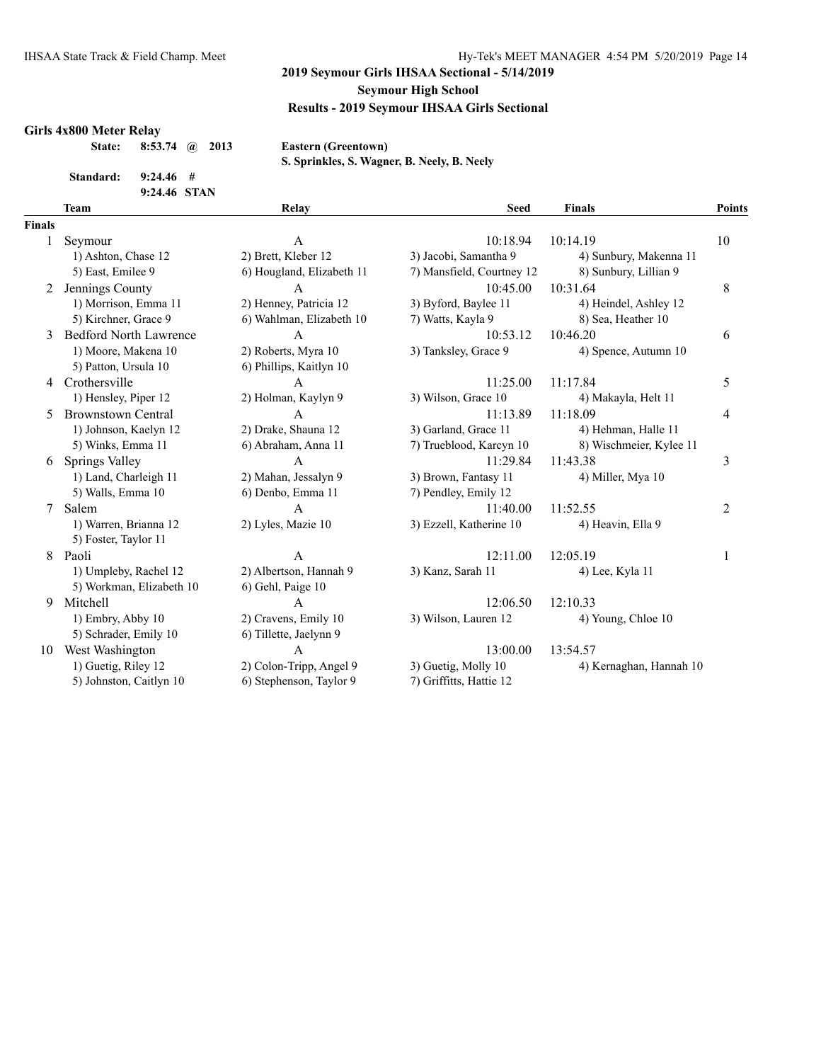#### **Girls 4x800 Meter Relay**

| <b>State:</b> | 8:53.74 $\omega$ 2013 |  |  |
|---------------|-----------------------|--|--|
|---------------|-----------------------|--|--|

 $\textbf{Eastern}$  (Greentown)

**Standard: 9:24.46 #**

**9:24.46 STAN**

| S. Sprinkles, S. Wagner, B. Neely, B. Neely |  |  |  |  |
|---------------------------------------------|--|--|--|--|
|---------------------------------------------|--|--|--|--|

|               | <b>Team</b>                   | Relay                     | <b>Seed</b>               | <b>Finals</b>           | <b>Points</b>  |
|---------------|-------------------------------|---------------------------|---------------------------|-------------------------|----------------|
| <b>Finals</b> |                               |                           |                           |                         |                |
|               | Seymour                       | $\mathbf{A}$              | 10:18.94                  | 10:14.19                | 10             |
|               | 1) Ashton, Chase 12           | 2) Brett, Kleber 12       | 3) Jacobi, Samantha 9     | 4) Sunbury, Makenna 11  |                |
|               | 5) East, Emilee 9             | 6) Hougland, Elizabeth 11 | 7) Mansfield, Courtney 12 | 8) Sunbury, Lillian 9   |                |
| 2             | Jennings County               | $\overline{A}$            | 10:45.00                  | 10:31.64                | 8              |
|               | 1) Morrison, Emma 11          | 2) Henney, Patricia 12    | 3) Byford, Baylee 11      | 4) Heindel, Ashley 12   |                |
|               | 5) Kirchner, Grace 9          | 6) Wahlman, Elizabeth 10  | 7) Watts, Kayla 9         | 8) Sea, Heather 10      |                |
|               | <b>Bedford North Lawrence</b> | $\mathbf{A}$              | 10:53.12                  | 10:46.20                | 6              |
|               | 1) Moore, Makena 10           | 2) Roberts, Myra 10       | 3) Tanksley, Grace 9      | 4) Spence, Autumn 10    |                |
|               | 5) Patton, Ursula 10          | 6) Phillips, Kaitlyn 10   |                           |                         |                |
| 4             | Crothersville                 | $\mathbf{A}$              | 11:25.00                  | 11:17.84                | 5              |
|               | 1) Hensley, Piper 12          | 2) Holman, Kaylyn 9       | 3) Wilson, Grace 10       | 4) Makayla, Helt 11     |                |
| 5.            | <b>Brownstown Central</b>     | $\mathsf{A}$              | 11:13.89                  | 11:18.09                | 4              |
|               | 1) Johnson, Kaelyn 12         | 2) Drake, Shauna 12       | 3) Garland, Grace 11      | 4) Hehman, Halle 11     |                |
|               | 5) Winks, Emma 11             | 6) Abraham, Anna 11       | 7) Trueblood, Karcyn 10   | 8) Wischmeier, Kylee 11 |                |
| 6             | Springs Valley                | $\mathbf{A}$              | 11:29.84                  | 11:43.38                | 3              |
|               | 1) Land, Charleigh 11         | 2) Mahan, Jessalyn 9      | 3) Brown, Fantasy 11      | 4) Miller, Mya 10       |                |
|               | 5) Walls, Emma 10             | 6) Denbo, Emma 11         | 7) Pendley, Emily 12      |                         |                |
| 7             | Salem                         | $\mathsf{A}$              | 11:40.00                  | 11:52.55                | $\overline{2}$ |
|               | 1) Warren, Brianna 12         | 2) Lyles, Mazie 10        | 3) Ezzell, Katherine 10   | 4) Heavin, Ella 9       |                |
|               | 5) Foster, Taylor 11          |                           |                           |                         |                |
| 8             | Paoli                         | $\mathbf{A}$              | 12:11.00                  | 12:05.19                | 1              |
|               | 1) Umpleby, Rachel 12         | 2) Albertson, Hannah 9    | 3) Kanz, Sarah 11         | 4) Lee, Kyla 11         |                |
|               | 5) Workman, Elizabeth 10      | 6) Gehl, Paige 10         |                           |                         |                |
| 9             | Mitchell                      | $\mathbf{A}$              | 12:06.50                  | 12:10.33                |                |
|               | 1) Embry, Abby 10             | 2) Cravens, Emily 10      | 3) Wilson, Lauren 12      | 4) Young, Chloe 10      |                |
|               | 5) Schrader, Emily 10         | 6) Tillette, Jaelynn 9    |                           |                         |                |
| 10            | West Washington               | $\overline{A}$            | 13:00.00                  | 13:54.57                |                |
|               | 1) Guetig, Riley 12           | 2) Colon-Tripp, Angel 9   | 3) Guetig, Molly 10       | 4) Kernaghan, Hannah 10 |                |
|               | 5) Johnston, Caitlyn 10       | 6) Stephenson, Taylor 9   | 7) Griffitts, Hattie 12   |                         |                |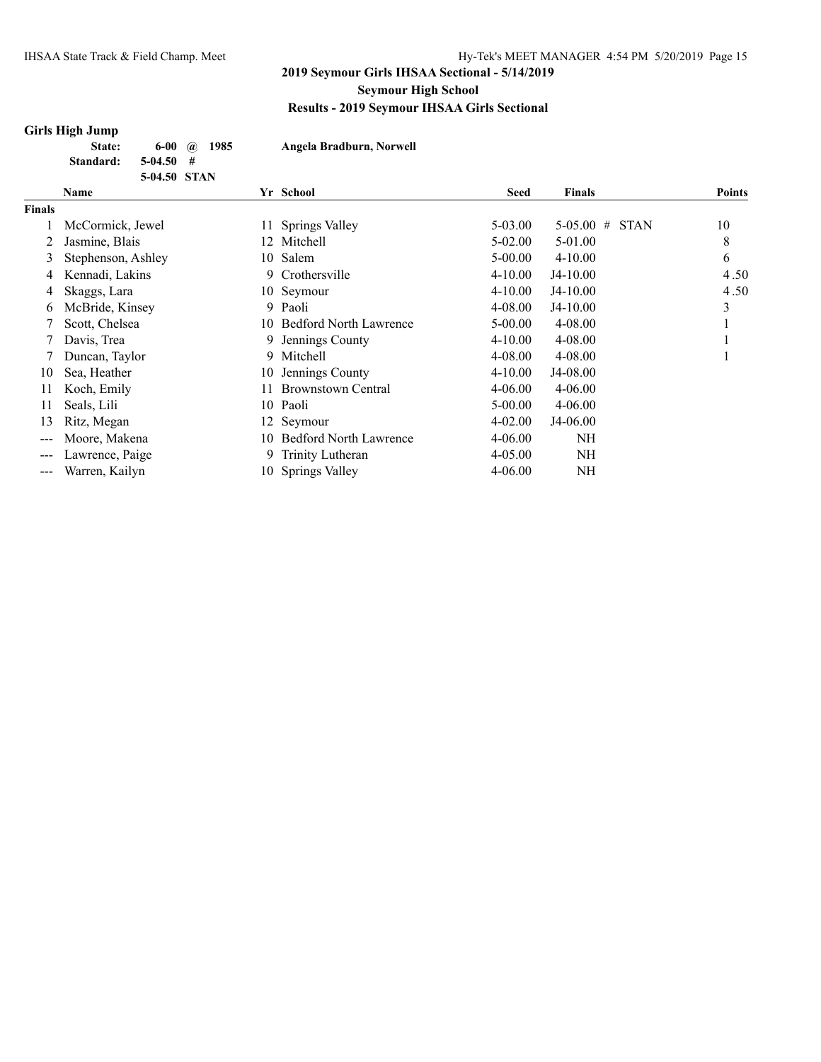# **Girls High Jump**

| ли 13 тиги очшр |               |      |                          |
|-----------------|---------------|------|--------------------------|
| State:          | 6-00 $\omega$ | 1985 | Angela Bradburn, Norwell |
| Standard:       | 5-04.50       | - #  |                          |
|                 | 5-04.50 STAN  |      |                          |

|                   | Name               |     | Yr School                     | <b>Seed</b> | <b>Finals</b>              | <b>Points</b> |
|-------------------|--------------------|-----|-------------------------------|-------------|----------------------------|---------------|
| <b>Finals</b>     |                    |     |                               |             |                            |               |
|                   | McCormick, Jewel   |     | 11 Springs Valley             | 5-03.00     | <b>STAN</b><br>$5-05.00$ # | 10            |
|                   | Jasmine, Blais     |     | 12 Mitchell                   | $5-02.00$   | $5-01.00$                  | 8             |
| 3                 | Stephenson, Ashley |     | 10 Salem                      | $5 - 00.00$ | $4 - 10.00$                | 6             |
| 4                 | Kennadi, Lakins    | 9   | Crothersville                 | $4 - 10.00$ | $J4-10.00$                 | 4.50          |
| 4                 | Skaggs, Lara       |     | 10 Seymour                    | $4 - 10.00$ | $J4-10.00$                 | 4.50          |
| 6                 | McBride, Kinsey    | 9   | Paoli                         | 4-08.00     | $J4-10.00$                 | 3             |
|                   | Scott, Chelsea     |     | 10 Bedford North Lawrence     | $5 - 00.00$ | $4 - 08.00$                |               |
|                   | Davis, Trea        | 9.  | Jennings County               | $4 - 10.00$ | $4 - 08.00$                |               |
|                   | Duncan, Taylor     | 9   | Mitchell                      | 4-08.00     | $4 - 08.00$                |               |
| 10                | Sea, Heather       | 10  | Jennings County               | $4 - 10.00$ | J4-08.00                   |               |
| 11                | Koch, Emily        | 11. | <b>Brownstown Central</b>     | $4 - 06.00$ | $4 - 06.00$                |               |
| 11                | Seals, Lili        |     | 10 Paoli                      | $5 - 00.00$ | $4 - 06.00$                |               |
| 13                | Ritz, Megan        |     | 12 Seymour                    | $4 - 02.00$ | J4-06.00                   |               |
| $\qquad \qquad -$ | Moore, Makena      | 10. | <b>Bedford North Lawrence</b> | $4 - 06.00$ | NH                         |               |
| $\qquad \qquad -$ | Lawrence, Paige    | 9   | Trinity Lutheran              | $4 - 05.00$ | <b>NH</b>                  |               |
| $---$             | Warren, Kailyn     |     | 10 Springs Valley             | 4-06.00     | NH                         |               |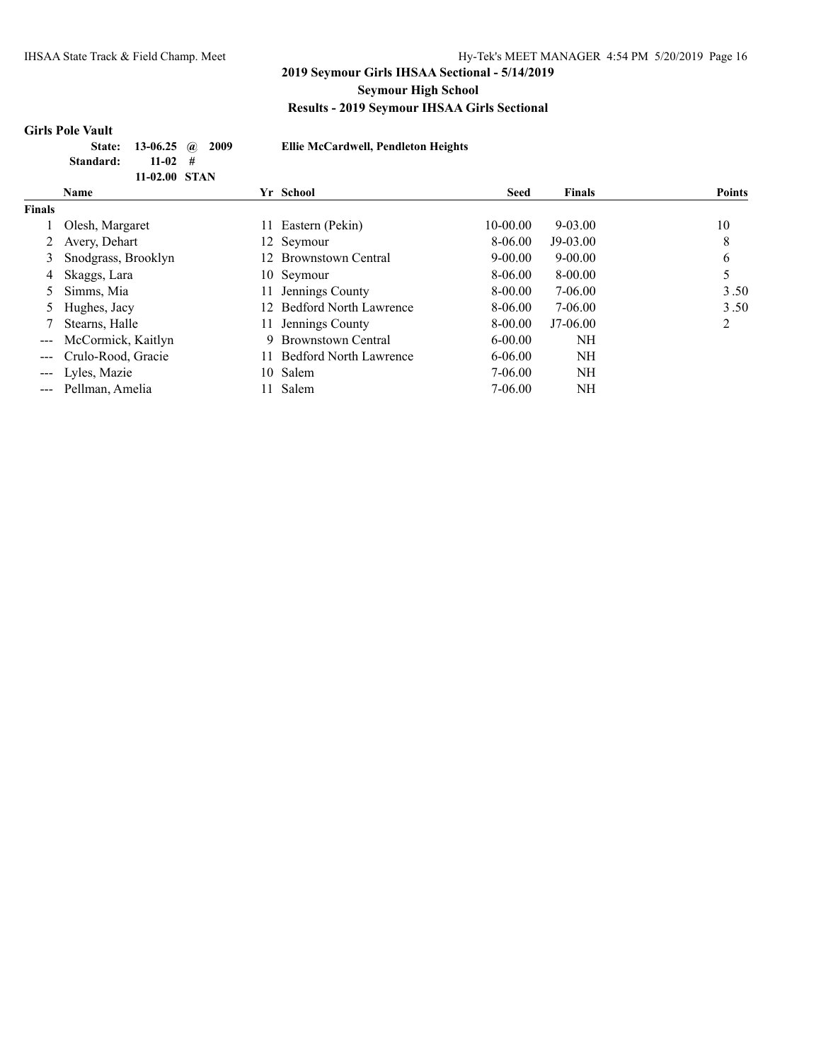# **Girls Pole Vault**

| El |
|----|
|    |
|    |
|    |

**State: 13-06.25 @ 2009 Ellie McCardwell, Pendleton Heights**

|                                                                                                                                                                                                                                                                                                                                                                                              | Name                |     | Yr School                     | <b>Seed</b> | <b>Finals</b> | <b>Points</b> |
|----------------------------------------------------------------------------------------------------------------------------------------------------------------------------------------------------------------------------------------------------------------------------------------------------------------------------------------------------------------------------------------------|---------------------|-----|-------------------------------|-------------|---------------|---------------|
| <b>Finals</b>                                                                                                                                                                                                                                                                                                                                                                                |                     |     |                               |             |               |               |
|                                                                                                                                                                                                                                                                                                                                                                                              | Olesh, Margaret     |     | 11 Eastern (Pekin)            | 10-00.00    | $9 - 03.00$   | 10            |
| 2                                                                                                                                                                                                                                                                                                                                                                                            | Avery, Dehart       |     | 12 Seymour                    | 8-06.00     | $J9-03.00$    | 8             |
| 3                                                                                                                                                                                                                                                                                                                                                                                            | Snodgrass, Brooklyn |     | 12 Brownstown Central         | $9 - 00.00$ | $9 - 00.00$   | 6             |
| 4                                                                                                                                                                                                                                                                                                                                                                                            | Skaggs, Lara        |     | 10 Seymour                    | 8-06.00     | 8-00.00       |               |
|                                                                                                                                                                                                                                                                                                                                                                                              | Simms, Mia          | 11  | Jennings County               | 8-00.00     | 7-06.00       | 3.50          |
|                                                                                                                                                                                                                                                                                                                                                                                              | Hughes, Jacy        | 12. | <b>Bedford North Lawrence</b> | 8-06.00     | $7 - 06.00$   | 3.50          |
|                                                                                                                                                                                                                                                                                                                                                                                              | Stearns, Halle      | 11. | Jennings County               | 8-00.00     | $J7-06.00$    | 2             |
| $\frac{1}{2} \frac{1}{2} \frac{1}{2} \frac{1}{2} \frac{1}{2} \frac{1}{2} \frac{1}{2} \frac{1}{2} \frac{1}{2} \frac{1}{2} \frac{1}{2} \frac{1}{2} \frac{1}{2} \frac{1}{2} \frac{1}{2} \frac{1}{2} \frac{1}{2} \frac{1}{2} \frac{1}{2} \frac{1}{2} \frac{1}{2} \frac{1}{2} \frac{1}{2} \frac{1}{2} \frac{1}{2} \frac{1}{2} \frac{1}{2} \frac{1}{2} \frac{1}{2} \frac{1}{2} \frac{1}{2} \frac{$ | McCormick, Kaitlyn  | 9   | <b>Brownstown Central</b>     | $6 - 00.00$ | NΗ            |               |
| $\frac{1}{2} \frac{1}{2} \frac{1}{2} \frac{1}{2} \frac{1}{2} \frac{1}{2} \frac{1}{2} \frac{1}{2} \frac{1}{2} \frac{1}{2} \frac{1}{2} \frac{1}{2} \frac{1}{2} \frac{1}{2} \frac{1}{2} \frac{1}{2} \frac{1}{2} \frac{1}{2} \frac{1}{2} \frac{1}{2} \frac{1}{2} \frac{1}{2} \frac{1}{2} \frac{1}{2} \frac{1}{2} \frac{1}{2} \frac{1}{2} \frac{1}{2} \frac{1}{2} \frac{1}{2} \frac{1}{2} \frac{$ | Crulo-Rood, Gracie  |     | <b>Bedford North Lawrence</b> | $6 - 06.00$ | NH            |               |
|                                                                                                                                                                                                                                                                                                                                                                                              | --- Lyles, Mazie    |     | 10 Salem                      | 7-06.00     | NΗ            |               |
|                                                                                                                                                                                                                                                                                                                                                                                              | --- Pellman, Amelia | 11  | Salem                         | 7-06.00     | NΗ            |               |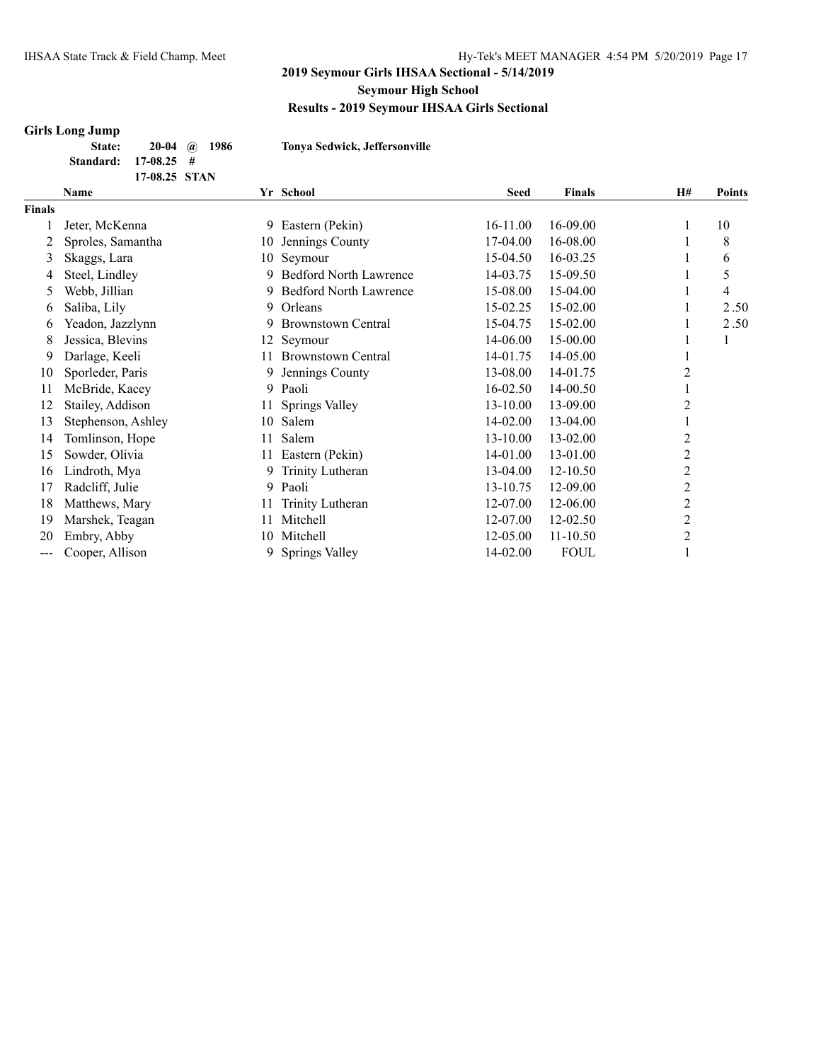#### **Girls Long Jump**

| State:               | $20-04$ (a) 1986 |  |
|----------------------|------------------|--|
| Standard: 17-08.25 # |                  |  |
|                      | 17-08.25 STAN    |  |

**State: 20-04 @ 1986 Tonya Sedwick, Jeffersonville**

|        | Name               |    | Yr School                     | Seed     | <b>Finals</b> | <b>H#</b>      | <b>Points</b> |
|--------|--------------------|----|-------------------------------|----------|---------------|----------------|---------------|
| Finals |                    |    |                               |          |               |                |               |
|        | Jeter, McKenna     | 9  | Eastern (Pekin)               | 16-11.00 | 16-09.00      |                | 10            |
| 2      | Sproles, Samantha  | 10 | Jennings County               | 17-04.00 | 16-08.00      |                | 8             |
| 3      | Skaggs, Lara       | 10 | Seymour                       | 15-04.50 | 16-03.25      |                | 6             |
| 4      | Steel, Lindley     | 9  | <b>Bedford North Lawrence</b> | 14-03.75 | 15-09.50      |                | 5             |
| 5      | Webb, Jillian      | 9  | <b>Bedford North Lawrence</b> | 15-08.00 | 15-04.00      |                | 4             |
| 6      | Saliba, Lily       | 9  | Orleans                       | 15-02.25 | 15-02.00      |                | 2.50          |
| 6      | Yeadon, Jazzlynn   | 9. | Brownstown Central            | 15-04.75 | 15-02.00      |                | 2.50          |
| 8      | Jessica, Blevins   | 12 | Seymour                       | 14-06.00 | 15-00.00      |                |               |
| 9      | Darlage, Keeli     | 11 | <b>Brownstown Central</b>     | 14-01.75 | 14-05.00      |                |               |
| 10     | Sporleder, Paris   | 9  | Jennings County               | 13-08.00 | 14-01.75      | 2              |               |
| 11     | McBride, Kacey     | 9  | Paoli                         | 16-02.50 | 14-00.50      |                |               |
| 12     | Stailey, Addison   | 11 | Springs Valley                | 13-10.00 | 13-09.00      | 2              |               |
| 13     | Stephenson, Ashley | 10 | Salem                         | 14-02.00 | 13-04.00      |                |               |
| 14     | Tomlinson, Hope    | 11 | Salem                         | 13-10.00 | 13-02.00      | 2              |               |
| 15     | Sowder, Olivia     | 11 | Eastern (Pekin)               | 14-01.00 | 13-01.00      | $\overline{c}$ |               |
| 16     | Lindroth, Mya      | 9  | Trinity Lutheran              | 13-04.00 | 12-10.50      | 2              |               |
| 17     | Radcliff, Julie    | 9  | Paoli                         | 13-10.75 | 12-09.00      | $\overline{c}$ |               |
| 18     | Matthews, Mary     | 11 | Trinity Lutheran              | 12-07.00 | 12-06.00      | 2              |               |
| 19     | Marshek, Teagan    | 11 | Mitchell                      | 12-07.00 | 12-02.50      | $\overline{2}$ |               |
| 20     | Embry, Abby        | 10 | Mitchell                      | 12-05.00 | 11-10.50      | 2              |               |
| ---    | Cooper, Allison    | 9  | Springs Valley                | 14-02.00 | <b>FOUL</b>   |                |               |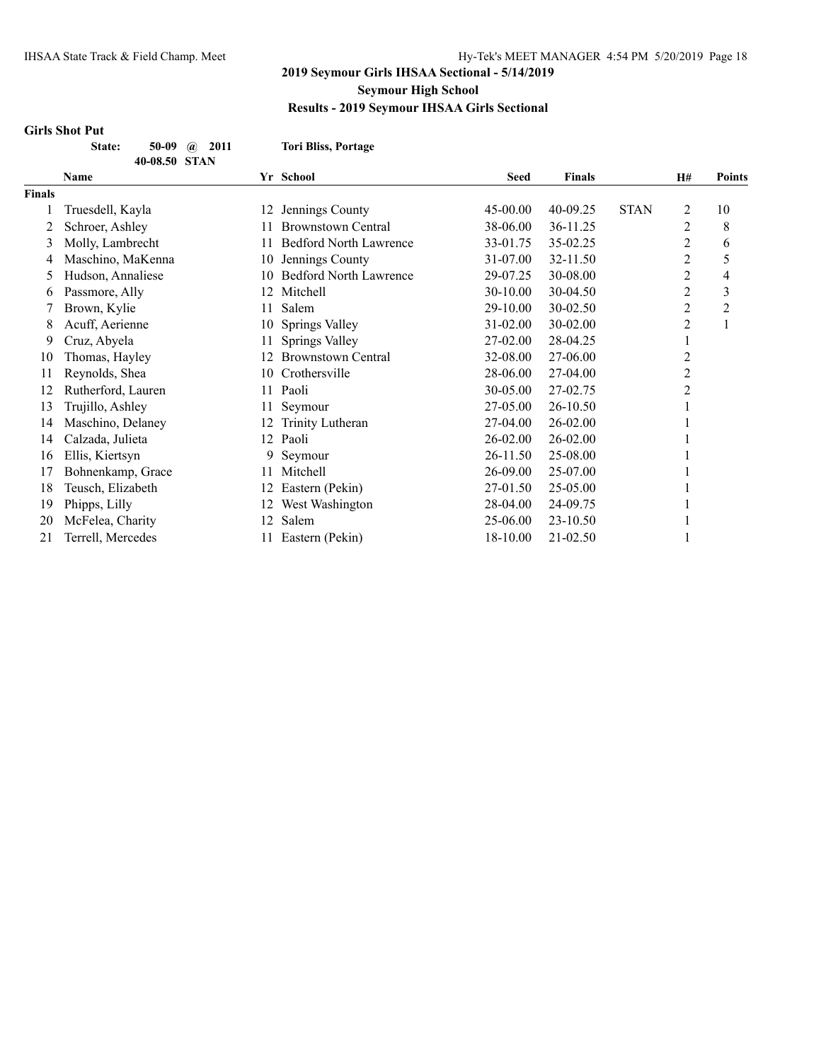#### **Girls Shot Put**

**State: 50-09 @ 2011 Tori Bliss, Portage 40-08.50 STAN**

|               | <b>Name</b>        |     | Yr School                     | <b>Seed</b>  | <b>Finals</b> |             | H#             | <b>Points</b> |  |
|---------------|--------------------|-----|-------------------------------|--------------|---------------|-------------|----------------|---------------|--|
| <b>Finals</b> |                    |     |                               |              |               |             |                |               |  |
|               | Truesdell, Kayla   | 12  | Jennings County               | $45 - 00.00$ | 40-09.25      | <b>STAN</b> | 2              | 10            |  |
| 2             | Schroer, Ashley    | 11  | <b>Brownstown Central</b>     | 38-06.00     | 36-11.25      |             | 2              | 8             |  |
| 3             | Molly, Lambrecht   | 11. | <b>Bedford North Lawrence</b> | 33-01.75     | 35-02.25      |             | $\overline{c}$ | 6             |  |
| 4             | Maschino, MaKenna  | 10  | Jennings County               | 31-07.00     | 32-11.50      |             | 2              | 5             |  |
| 5             | Hudson, Annaliese  | 10  | <b>Bedford North Lawrence</b> | 29-07.25     | 30-08.00      |             | 2              | 4             |  |
| 6             | Passmore, Ally     | 12  | Mitchell                      | 30-10.00     | 30-04.50      |             | 2              | 3             |  |
|               | Brown, Kylie       | 11  | Salem                         | 29-10.00     | 30-02.50      |             | 2              | 2             |  |
| 8             | Acuff, Aerienne    | 10  | Springs Valley                | 31-02.00     | 30-02.00      |             | $\overline{c}$ |               |  |
| 9             | Cruz, Abyela       | 11  | Springs Valley                | 27-02.00     | 28-04.25      |             |                |               |  |
| 10            | Thomas, Hayley     | 12  | <b>Brownstown Central</b>     | 32-08.00     | 27-06.00      |             | 2              |               |  |
| 11            | Reynolds, Shea     | 10  | Crothersville                 | 28-06.00     | 27-04.00      |             | 2              |               |  |
| 12            | Rutherford, Lauren | 11  | Paoli                         | 30-05.00     | 27-02.75      |             | 2              |               |  |
| 13            | Trujillo, Ashley   | 11  | Seymour                       | 27-05.00     | 26-10.50      |             |                |               |  |
| 14            | Maschino, Delaney  | 12  | Trinity Lutheran              | 27-04.00     | 26-02.00      |             |                |               |  |
| 14            | Calzada, Julieta   | 12  | Paoli                         | 26-02.00     | 26-02.00      |             |                |               |  |
| 16            | Ellis, Kiertsyn    | 9   | Seymour                       | 26-11.50     | 25-08.00      |             |                |               |  |
| 17            | Bohnenkamp, Grace  | 11  | Mitchell                      | 26-09.00     | 25-07.00      |             |                |               |  |
| 18            | Teusch, Elizabeth  | 12  | Eastern (Pekin)               | 27-01.50     | 25-05.00      |             |                |               |  |
| 19            | Phipps, Lilly      | 12  | West Washington               | 28-04.00     | 24-09.75      |             |                |               |  |
| 20            | McFelea, Charity   | 12  | Salem                         | 25-06.00     | 23-10.50      |             |                |               |  |
| 21            | Terrell, Mercedes  | 11  | Eastern (Pekin)               | 18-10.00     | 21-02.50      |             |                |               |  |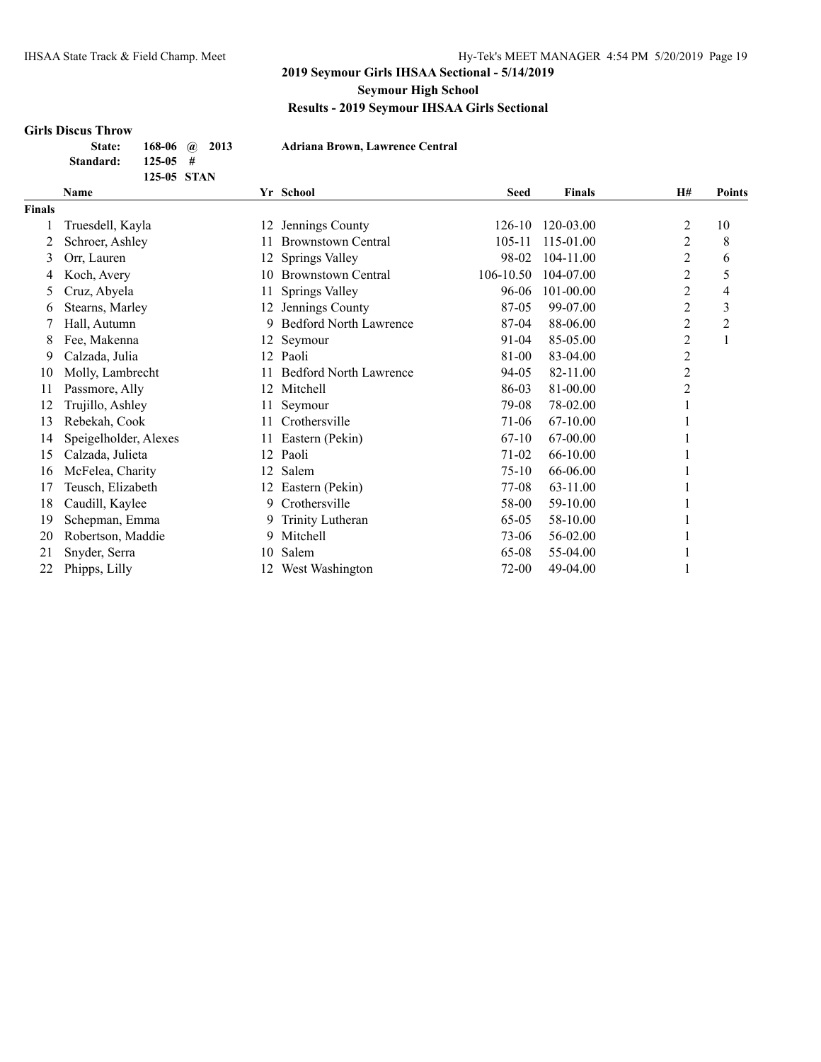#### **Girls Discus Throw**

| <b>State:</b> |              | 168-06 $\omega$ 2013 |  |
|---------------|--------------|----------------------|--|
| Standard:     | $125 - 05 +$ |                      |  |
|               | 125-05 STAN  |                      |  |

**State: 168-06 @ 2013 Adriana Brown, Lawrence Central**

|               | Name                  |     | Yr School                     | <b>Seed</b> | <b>Finals</b> | <b>H#</b>      | <b>Points</b>  |
|---------------|-----------------------|-----|-------------------------------|-------------|---------------|----------------|----------------|
| <b>Finals</b> |                       |     |                               |             |               |                |                |
|               | Truesdell, Kayla      | 12  | Jennings County               | 126-10      | 120-03.00     | 2              | 10             |
| 2             | Schroer, Ashley       |     | <b>Brownstown Central</b>     | $105 - 11$  | 115-01.00     | 2              | 8              |
| 3             | Orr, Lauren           | 12  | Springs Valley                | 98-02       | 104-11.00     | 2              | 6              |
| 4             | Koch, Avery           | 10  | <b>Brownstown Central</b>     | 106-10.50   | 104-07.00     | 2              | 5              |
| 5             | Cruz, Abyela          | 11  | Springs Valley                | 96-06       | 101-00.00     | $\overline{c}$ | 4              |
| 6             | Stearns, Marley       | 12. | Jennings County               | 87-05       | 99-07.00      | 2              | 3              |
|               | Hall, Autumn          |     | <b>Bedford North Lawrence</b> | 87-04       | 88-06.00      | 2              | $\overline{c}$ |
| 8             | Fee, Makenna          | 12  | Seymour                       | 91-04       | 85-05.00      | $\overline{c}$ | 1              |
| 9             | Calzada, Julia        | 12  | Paoli                         | 81-00       | 83-04.00      | $\overline{c}$ |                |
| 10            | Molly, Lambrecht      |     | <b>Bedford North Lawrence</b> | 94-05       | 82-11.00      | $\overline{c}$ |                |
| 11            | Passmore, Ally        | 12  | Mitchell                      | 86-03       | 81-00.00      | $\overline{2}$ |                |
| 12            | Trujillo, Ashley      | 11. | Seymour                       | 79-08       | 78-02.00      |                |                |
| 13            | Rebekah, Cook         | 11. | Crothersville                 | 71-06       | 67-10.00      |                |                |
| 14            | Speigelholder, Alexes | 11  | Eastern (Pekin)               | $67-10$     | 67-00.00      |                |                |
| 15            | Calzada, Julieta      | 12  | Paoli                         | 71-02       | 66-10.00      |                |                |
| 16            | McFelea, Charity      | 12  | Salem                         | $75-10$     | 66-06.00      |                |                |
| 17            | Teusch, Elizabeth     | 12  | Eastern (Pekin)               | 77-08       | 63-11.00      |                |                |
| 18            | Caudill, Kaylee       | 9   | Crothersville                 | 58-00       | 59-10.00      |                |                |
| 19            | Schepman, Emma        | 9.  | Trinity Lutheran              | $65-05$     | 58-10.00      |                |                |
| 20            | Robertson, Maddie     | 9   | Mitchell                      | 73-06       | 56-02.00      |                |                |
| 21            | Snyder, Serra         | 10  | Salem                         | 65-08       | 55-04.00      |                |                |
| 22            | Phipps, Lilly         | 12  | West Washington               | 72-00       | 49-04.00      |                |                |